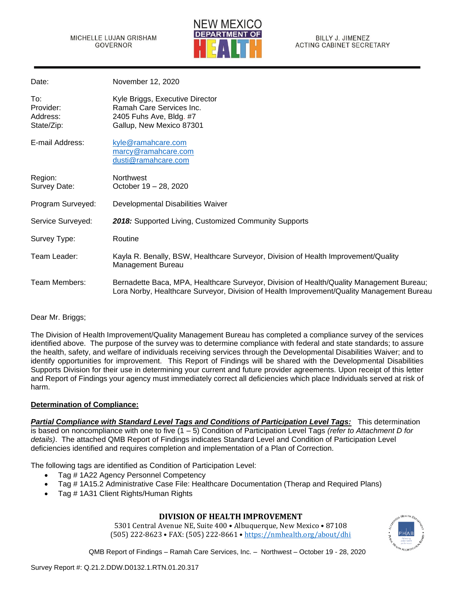

| Date:                                      | November 12, 2020                                                                                                                                                                     |
|--------------------------------------------|---------------------------------------------------------------------------------------------------------------------------------------------------------------------------------------|
| To:<br>Provider:<br>Address:<br>State/Zip: | Kyle Briggs, Executive Director<br>Ramah Care Services Inc.<br>2405 Fuhs Ave, Bldg. #7<br>Gallup, New Mexico 87301                                                                    |
| E-mail Address:                            | kyle@ramahcare.com<br>marcy@ramahcare.com<br>dusti@ramahcare.com                                                                                                                      |
| Region:<br>Survey Date:                    | <b>Northwest</b><br>October 19 - 28, 2020                                                                                                                                             |
| Program Surveyed:                          | Developmental Disabilities Waiver                                                                                                                                                     |
| Service Surveyed:                          | 2018: Supported Living, Customized Community Supports                                                                                                                                 |
| Survey Type:                               | Routine                                                                                                                                                                               |
| Team Leader:                               | Kayla R. Benally, BSW, Healthcare Surveyor, Division of Health Improvement/Quality<br>Management Bureau                                                                               |
| Team Members:                              | Bernadette Baca, MPA, Healthcare Surveyor, Division of Health/Quality Management Bureau;<br>Lora Norby, Healthcare Surveyor, Division of Health Improvement/Quality Management Bureau |

### Dear Mr. Briggs;

The Division of Health Improvement/Quality Management Bureau has completed a compliance survey of the services identified above. The purpose of the survey was to determine compliance with federal and state standards; to assure the health, safety, and welfare of individuals receiving services through the Developmental Disabilities Waiver; and to identify opportunities for improvement. This Report of Findings will be shared with the Developmental Disabilities Supports Division for their use in determining your current and future provider agreements. Upon receipt of this letter and Report of Findings your agency must immediately correct all deficiencies which place Individuals served at risk of harm.

### **Determination of Compliance:**

*Partial Compliance with Standard Level Tags and Conditions of Participation Level Tags:* This determination is based on noncompliance with one to five (1 – 5) Condition of Participation Level Tags *(refer to Attachment D for details)*. The attached QMB Report of Findings indicates Standard Level and Condition of Participation Level deficiencies identified and requires completion and implementation of a Plan of Correction.

The following tags are identified as Condition of Participation Level:

- Tag # 1A22 Agency Personnel Competency
- Tag # 1A15.2 Administrative Case File: Healthcare Documentation (Therap and Required Plans)
- Tag # 1A31 Client Rights/Human Rights

### **DIVISION OF HEALTH IMPROVEMENT**

5301 Central Avenue NE, Suite 400 • Albuquerque, New Mexico • 87108 (505) 222-8623 • FAX: (505) 222-8661 • <https://nmhealth.org/about/dhi>

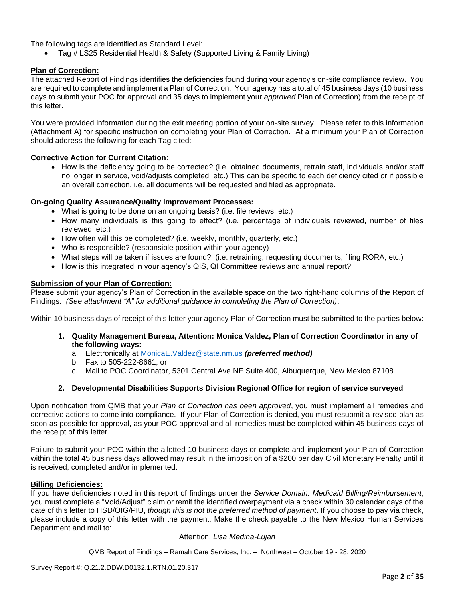The following tags are identified as Standard Level:

• Tag # LS25 Residential Health & Safety (Supported Living & Family Living)

#### **Plan of Correction:**

The attached Report of Findings identifies the deficiencies found during your agency's on-site compliance review. You are required to complete and implement a Plan of Correction. Your agency has a total of 45 business days (10 business days to submit your POC for approval and 35 days to implement your *approved* Plan of Correction) from the receipt of this letter.

You were provided information during the exit meeting portion of your on-site survey. Please refer to this information (Attachment A) for specific instruction on completing your Plan of Correction. At a minimum your Plan of Correction should address the following for each Tag cited:

#### **Corrective Action for Current Citation**:

• How is the deficiency going to be corrected? (i.e. obtained documents, retrain staff, individuals and/or staff no longer in service, void/adjusts completed, etc.) This can be specific to each deficiency cited or if possible an overall correction, i.e. all documents will be requested and filed as appropriate.

#### **On-going Quality Assurance/Quality Improvement Processes:**

- What is going to be done on an ongoing basis? (i.e. file reviews, etc.)
- How many individuals is this going to effect? (i.e. percentage of individuals reviewed, number of files reviewed, etc.)
- How often will this be completed? (i.e. weekly, monthly, quarterly, etc.)
- Who is responsible? (responsible position within your agency)
- What steps will be taken if issues are found? (i.e. retraining, requesting documents, filing RORA, etc.)
- How is this integrated in your agency's QIS, QI Committee reviews and annual report?

#### **Submission of your Plan of Correction:**

Please submit your agency's Plan of Correction in the available space on the two right-hand columns of the Report of Findings. *(See attachment "A" for additional guidance in completing the Plan of Correction)*.

Within 10 business days of receipt of this letter your agency Plan of Correction must be submitted to the parties below:

- **1. Quality Management Bureau, Attention: Monica Valdez, Plan of Correction Coordinator in any of the following ways:**
	- a. Electronically at [MonicaE.Valdez@state.nm.us](mailto:MonicaE.Valdez@state.nm.us) *(preferred method)*
	- b. Fax to 505-222-8661, or
	- c. Mail to POC Coordinator, 5301 Central Ave NE Suite 400, Albuquerque, New Mexico 87108

#### **2. Developmental Disabilities Supports Division Regional Office for region of service surveyed**

Upon notification from QMB that your *Plan of Correction has been approved*, you must implement all remedies and corrective actions to come into compliance. If your Plan of Correction is denied, you must resubmit a revised plan as soon as possible for approval, as your POC approval and all remedies must be completed within 45 business days of the receipt of this letter.

Failure to submit your POC within the allotted 10 business days or complete and implement your Plan of Correction within the total 45 business days allowed may result in the imposition of a \$200 per day Civil Monetary Penalty until it is received, completed and/or implemented.

#### **Billing Deficiencies:**

If you have deficiencies noted in this report of findings under the *Service Domain: Medicaid Billing/Reimbursement*, you must complete a "Void/Adjust" claim or remit the identified overpayment via a check within 30 calendar days of the date of this letter to HSD/OIG/PIU, *though this is not the preferred method of payment*. If you choose to pay via check, please include a copy of this letter with the payment. Make the check payable to the New Mexico Human Services Department and mail to:

#### Attention: *Lisa Medina-Lujan*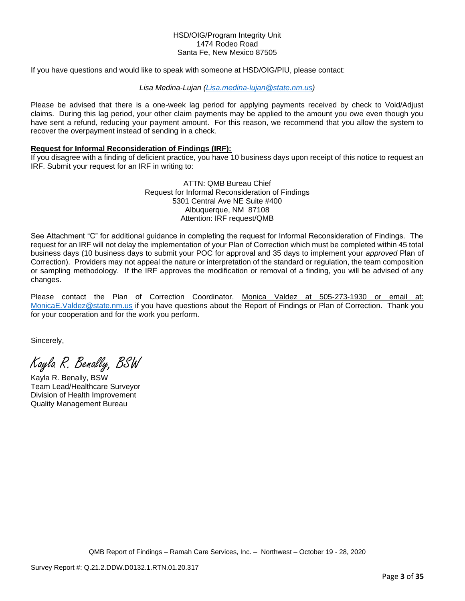#### HSD/OIG/Program Integrity Unit 1474 Rodeo Road Santa Fe, New Mexico 87505

If you have questions and would like to speak with someone at HSD/OIG/PIU, please contact:

#### *Lisa Medina-Lujan [\(Lisa.medina-lujan@state.nm.us\)](mailto:Lisa.medina-lujan@state.nm.us)*

Please be advised that there is a one-week lag period for applying payments received by check to Void/Adjust claims. During this lag period, your other claim payments may be applied to the amount you owe even though you have sent a refund, reducing your payment amount. For this reason, we recommend that you allow the system to recover the overpayment instead of sending in a check.

#### **Request for Informal Reconsideration of Findings (IRF):**

If you disagree with a finding of deficient practice, you have 10 business days upon receipt of this notice to request an IRF. Submit your request for an IRF in writing to:

> ATTN: QMB Bureau Chief Request for Informal Reconsideration of Findings 5301 Central Ave NE Suite #400 Albuquerque, NM 87108 Attention: IRF request/QMB

See Attachment "C" for additional guidance in completing the request for Informal Reconsideration of Findings. The request for an IRF will not delay the implementation of your Plan of Correction which must be completed within 45 total business days (10 business days to submit your POC for approval and 35 days to implement your *approved* Plan of Correction). Providers may not appeal the nature or interpretation of the standard or regulation, the team composition or sampling methodology. If the IRF approves the modification or removal of a finding, you will be advised of any changes.

Please contact the Plan of Correction Coordinator, Monica Valdez at 505-273-1930 or email at: [MonicaE.Valdez@state.nm.us](mailto:MonicaE.Valdez@state.nm.us) if you have questions about the Report of Findings or Plan of Correction. Thank you for your cooperation and for the work you perform.

Sincerely,

Kayla R. Benally, BSW

Kayla R. Benally, BSW Team Lead/Healthcare Surveyor Division of Health Improvement Quality Management Bureau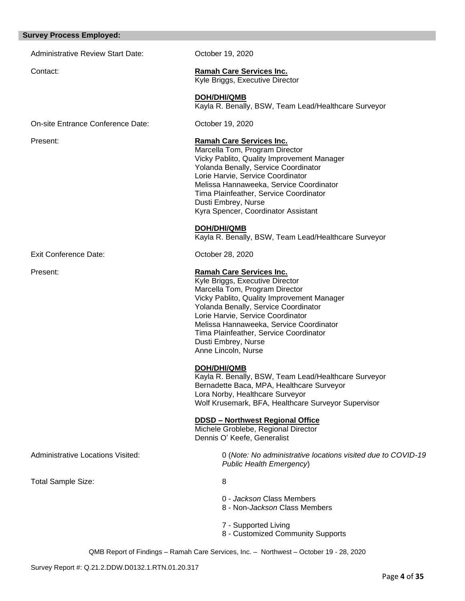#### **Survey Process Employed:**

Administrative Review Start Date: Corober 19, 2020

Contact: **Ramah Care Services Inc.**  Kyle Briggs, Executive Director

> **DOH/DHI/QMB** Kayla R. Benally, BSW, Team Lead/Healthcare Surveyor

On-site Entrance Conference Date: October 19, 2020

#### Present: **Ramah Care Services Inc.**

Marcella Tom, Program Director Vicky Pablito, Quality Improvement Manager Yolanda Benally, Service Coordinator Lorie Harvie, Service Coordinator Melissa Hannaweeka, Service Coordinator Tima Plainfeather, Service Coordinator Dusti Embrey, Nurse Kyra Spencer, Coordinator Assistant

**DOH/DHI/QMB**

Kayla R. Benally, BSW, Team Lead/Healthcare Surveyor

Exit Conference Date: Conference Date: Conference Date:

### Present: **Ramah Care Services Inc.**

Kyle Briggs, Executive Director Marcella Tom, Program Director Vicky Pablito, Quality Improvement Manager Yolanda Benally, Service Coordinator Lorie Harvie, Service Coordinator Melissa Hannaweeka, Service Coordinator Tima Plainfeather, Service Coordinator Dusti Embrey, Nurse Anne Lincoln, Nurse

#### **DOH/DHI/QMB**

Kayla R. Benally, BSW, Team Lead/Healthcare Surveyor Bernadette Baca, MPA, Healthcare Surveyor Lora Norby, Healthcare Surveyor Wolf Krusemark, BFA, Healthcare Surveyor Supervisor

#### **DDSD – Northwest Regional Office**

Michele Groblebe, Regional Director Dennis O' Keefe, Generalist

Administrative Locations Visited: 0 (*Note: No administrative locations visited due to COVID-19 Public Health Emergency*)

Total Sample Size: 8

- 0 *Jackson* Class Members
- 8 Non-*Jackson* Class Members
- 7 Supported Living
- 8 Customized Community Supports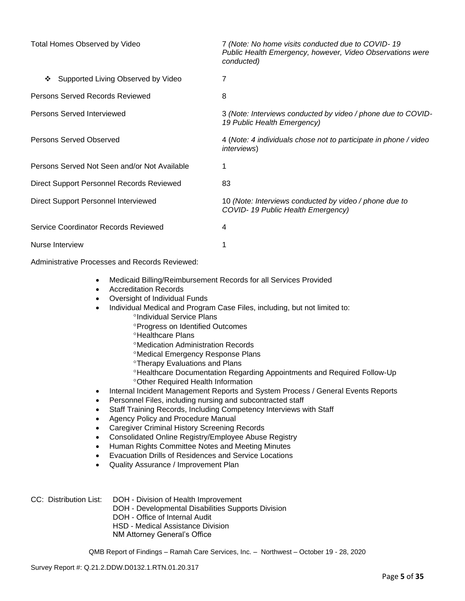| Total Homes Observed by Video                | 7 (Note: No home visits conducted due to COVID-19<br>Public Health Emergency, however, Video Observations were<br>conducted) |
|----------------------------------------------|------------------------------------------------------------------------------------------------------------------------------|
| Supported Living Observed by Video<br>❖      | 7                                                                                                                            |
| Persons Served Records Reviewed              | 8                                                                                                                            |
| Persons Served Interviewed                   | 3 (Note: Interviews conducted by video / phone due to COVID-<br>19 Public Health Emergency)                                  |
| Persons Served Observed                      | 4 (Note: 4 individuals chose not to participate in phone / video<br><i>interviews</i> )                                      |
| Persons Served Not Seen and/or Not Available |                                                                                                                              |
| Direct Support Personnel Records Reviewed    | 83                                                                                                                           |
| Direct Support Personnel Interviewed         | 10 (Note: Interviews conducted by video / phone due to<br>COVID-19 Public Health Emergency)                                  |
| Service Coordinator Records Reviewed         | 4                                                                                                                            |
| Nurse Interview                              |                                                                                                                              |

Administrative Processes and Records Reviewed:

- Medicaid Billing/Reimbursement Records for all Services Provided
- Accreditation Records
- Oversight of Individual Funds
- Individual Medical and Program Case Files, including, but not limited to:
	- <sup>o</sup>Individual Service Plans
		- Progress on Identified Outcomes
		- **<sup>o</sup>Healthcare Plans**
		- Medication Administration Records
		- Medical Emergency Response Plans
		- **<sup>o</sup>Therapy Evaluations and Plans**
		- Healthcare Documentation Regarding Appointments and Required Follow-Up Other Required Health Information
- Internal Incident Management Reports and System Process / General Events Reports
- Personnel Files, including nursing and subcontracted staff
- Staff Training Records, Including Competency Interviews with Staff
- Agency Policy and Procedure Manual
- Caregiver Criminal History Screening Records
- Consolidated Online Registry/Employee Abuse Registry
- Human Rights Committee Notes and Meeting Minutes
- Evacuation Drills of Residences and Service Locations
- Quality Assurance / Improvement Plan
- CC: Distribution List: DOH Division of Health Improvement
	- DOH Developmental Disabilities Supports Division
	- DOH Office of Internal Audit
	- HSD Medical Assistance Division
	- NM Attorney General's Office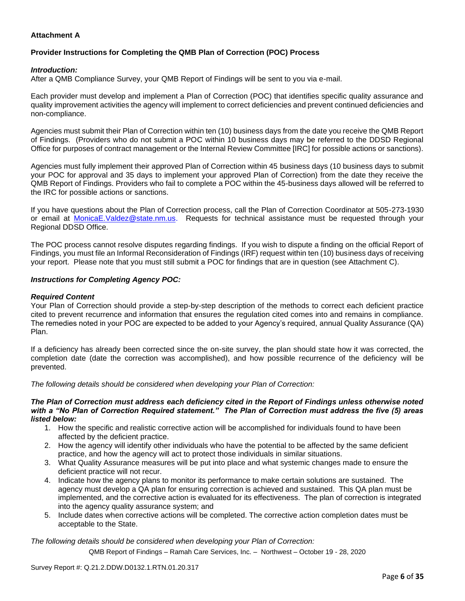### **Attachment A**

### **Provider Instructions for Completing the QMB Plan of Correction (POC) Process**

#### *Introduction:*

After a QMB Compliance Survey, your QMB Report of Findings will be sent to you via e-mail.

Each provider must develop and implement a Plan of Correction (POC) that identifies specific quality assurance and quality improvement activities the agency will implement to correct deficiencies and prevent continued deficiencies and non-compliance.

Agencies must submit their Plan of Correction within ten (10) business days from the date you receive the QMB Report of Findings. (Providers who do not submit a POC within 10 business days may be referred to the DDSD Regional Office for purposes of contract management or the Internal Review Committee [IRC] for possible actions or sanctions).

Agencies must fully implement their approved Plan of Correction within 45 business days (10 business days to submit your POC for approval and 35 days to implement your approved Plan of Correction) from the date they receive the QMB Report of Findings. Providers who fail to complete a POC within the 45-business days allowed will be referred to the IRC for possible actions or sanctions.

If you have questions about the Plan of Correction process, call the Plan of Correction Coordinator at 505-273-1930 or email at [MonicaE.Valdez@state.nm.us.](mailto:MonicaE.Valdez@state.nm.us) Requests for technical assistance must be requested through your Regional DDSD Office.

The POC process cannot resolve disputes regarding findings. If you wish to dispute a finding on the official Report of Findings, you must file an Informal Reconsideration of Findings (IRF) request within ten (10) business days of receiving your report. Please note that you must still submit a POC for findings that are in question (see Attachment C).

#### *Instructions for Completing Agency POC:*

#### *Required Content*

Your Plan of Correction should provide a step-by-step description of the methods to correct each deficient practice cited to prevent recurrence and information that ensures the regulation cited comes into and remains in compliance. The remedies noted in your POC are expected to be added to your Agency's required, annual Quality Assurance (QA) Plan.

If a deficiency has already been corrected since the on-site survey, the plan should state how it was corrected, the completion date (date the correction was accomplished), and how possible recurrence of the deficiency will be prevented.

*The following details should be considered when developing your Plan of Correction:*

#### *The Plan of Correction must address each deficiency cited in the Report of Findings unless otherwise noted with a "No Plan of Correction Required statement." The Plan of Correction must address the five (5) areas listed below:*

- 1. How the specific and realistic corrective action will be accomplished for individuals found to have been affected by the deficient practice.
- 2. How the agency will identify other individuals who have the potential to be affected by the same deficient practice, and how the agency will act to protect those individuals in similar situations.
- 3. What Quality Assurance measures will be put into place and what systemic changes made to ensure the deficient practice will not recur.
- 4. Indicate how the agency plans to monitor its performance to make certain solutions are sustained. The agency must develop a QA plan for ensuring correction is achieved and sustained. This QA plan must be implemented, and the corrective action is evaluated for its effectiveness. The plan of correction is integrated into the agency quality assurance system; and
- 5. Include dates when corrective actions will be completed. The corrective action completion dates must be acceptable to the State.

*The following details should be considered when developing your Plan of Correction:*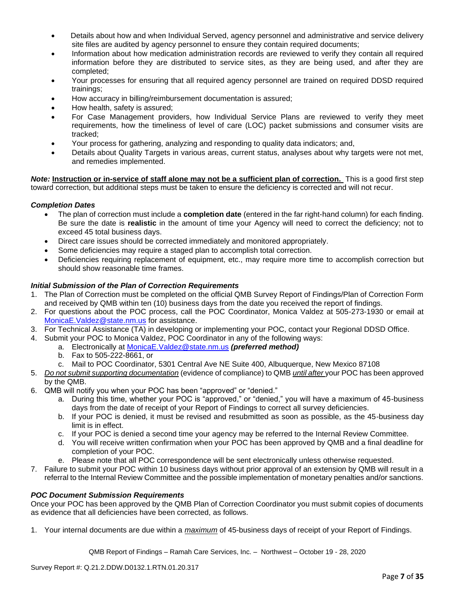- Details about how and when Individual Served, agency personnel and administrative and service delivery site files are audited by agency personnel to ensure they contain required documents;
- Information about how medication administration records are reviewed to verify they contain all required information before they are distributed to service sites, as they are being used, and after they are completed;
- Your processes for ensuring that all required agency personnel are trained on required DDSD required trainings;
- How accuracy in billing/reimbursement documentation is assured;
- How health, safety is assured;
- For Case Management providers, how Individual Service Plans are reviewed to verify they meet requirements, how the timeliness of level of care (LOC) packet submissions and consumer visits are tracked;
- Your process for gathering, analyzing and responding to quality data indicators; and,
- Details about Quality Targets in various areas, current status, analyses about why targets were not met, and remedies implemented.

*Note:* **Instruction or in-service of staff alone may not be a sufficient plan of correction.** This is a good first step toward correction, but additional steps must be taken to ensure the deficiency is corrected and will not recur.

### *Completion Dates*

- The plan of correction must include a **completion date** (entered in the far right-hand column) for each finding. Be sure the date is **realistic** in the amount of time your Agency will need to correct the deficiency; not to exceed 45 total business days.
- Direct care issues should be corrected immediately and monitored appropriately.
- Some deficiencies may require a staged plan to accomplish total correction.
- Deficiencies requiring replacement of equipment, etc., may require more time to accomplish correction but should show reasonable time frames.

### *Initial Submission of the Plan of Correction Requirements*

- 1. The Plan of Correction must be completed on the official QMB Survey Report of Findings/Plan of Correction Form and received by QMB within ten (10) business days from the date you received the report of findings.
- 2. For questions about the POC process, call the POC Coordinator, Monica Valdez at 505-273-1930 or email at [MonicaE.Valdez@state.nm.us](mailto:MonicaE.Valdez@state.nm.us) for assistance.
- 3. For Technical Assistance (TA) in developing or implementing your POC, contact your Regional DDSD Office.
- 4. Submit your POC to Monica Valdez, POC Coordinator in any of the following ways:
	- a. Electronically at [MonicaE.Valdez@state.nm.us](mailto:MonicaE.Valdez@state.nm.us) *(preferred method)*
		- b. Fax to 505-222-8661, or
		- c. Mail to POC Coordinator, 5301 Central Ave NE Suite 400, Albuquerque, New Mexico 87108
- 5. *Do not submit supporting documentation* (evidence of compliance) to QMB *until after* your POC has been approved by the QMB.
- 6. QMB will notify you when your POC has been "approved" or "denied."
	- a. During this time, whether your POC is "approved," or "denied," you will have a maximum of 45-business days from the date of receipt of your Report of Findings to correct all survey deficiencies.
	- b. If your POC is denied, it must be revised and resubmitted as soon as possible, as the 45-business day limit is in effect.
	- c. If your POC is denied a second time your agency may be referred to the Internal Review Committee.
	- d. You will receive written confirmation when your POC has been approved by QMB and a final deadline for completion of your POC.
	- e. Please note that all POC correspondence will be sent electronically unless otherwise requested.
- 7. Failure to submit your POC within 10 business days without prior approval of an extension by QMB will result in a referral to the Internal Review Committee and the possible implementation of monetary penalties and/or sanctions.

#### *POC Document Submission Requirements*

Once your POC has been approved by the QMB Plan of Correction Coordinator you must submit copies of documents as evidence that all deficiencies have been corrected, as follows.

1. Your internal documents are due within a *maximum* of 45-business days of receipt of your Report of Findings.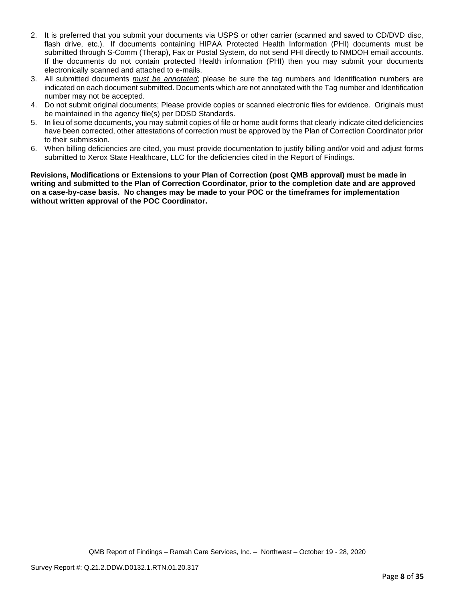- 2. It is preferred that you submit your documents via USPS or other carrier (scanned and saved to CD/DVD disc, flash drive, etc.). If documents containing HIPAA Protected Health Information (PHI) documents must be submitted through S-Comm (Therap), Fax or Postal System, do not send PHI directly to NMDOH email accounts. If the documents do not contain protected Health information (PHI) then you may submit your documents electronically scanned and attached to e-mails.
- 3. All submitted documents *must be annotated*; please be sure the tag numbers and Identification numbers are indicated on each document submitted. Documents which are not annotated with the Tag number and Identification number may not be accepted.
- 4. Do not submit original documents; Please provide copies or scanned electronic files for evidence. Originals must be maintained in the agency file(s) per DDSD Standards.
- 5. In lieu of some documents, you may submit copies of file or home audit forms that clearly indicate cited deficiencies have been corrected, other attestations of correction must be approved by the Plan of Correction Coordinator prior to their submission.
- 6. When billing deficiencies are cited, you must provide documentation to justify billing and/or void and adjust forms submitted to Xerox State Healthcare, LLC for the deficiencies cited in the Report of Findings.

**Revisions, Modifications or Extensions to your Plan of Correction (post QMB approval) must be made in writing and submitted to the Plan of Correction Coordinator, prior to the completion date and are approved on a case-by-case basis. No changes may be made to your POC or the timeframes for implementation without written approval of the POC Coordinator.**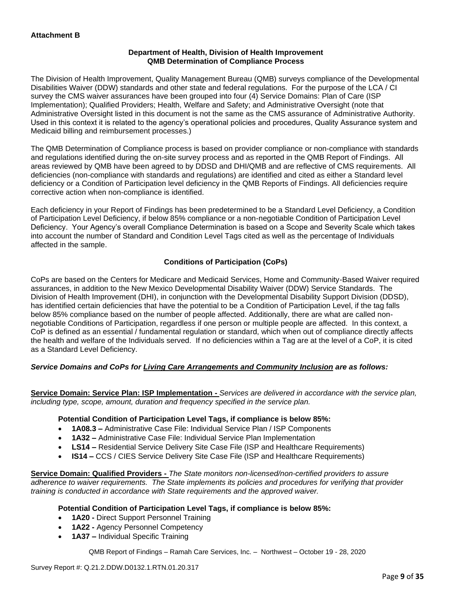### **Department of Health, Division of Health Improvement QMB Determination of Compliance Process**

The Division of Health Improvement, Quality Management Bureau (QMB) surveys compliance of the Developmental Disabilities Waiver (DDW) standards and other state and federal regulations. For the purpose of the LCA / CI survey the CMS waiver assurances have been grouped into four (4) Service Domains: Plan of Care (ISP Implementation); Qualified Providers; Health, Welfare and Safety; and Administrative Oversight (note that Administrative Oversight listed in this document is not the same as the CMS assurance of Administrative Authority. Used in this context it is related to the agency's operational policies and procedures, Quality Assurance system and Medicaid billing and reimbursement processes.)

The QMB Determination of Compliance process is based on provider compliance or non-compliance with standards and regulations identified during the on-site survey process and as reported in the QMB Report of Findings. All areas reviewed by QMB have been agreed to by DDSD and DHI/QMB and are reflective of CMS requirements. All deficiencies (non-compliance with standards and regulations) are identified and cited as either a Standard level deficiency or a Condition of Participation level deficiency in the QMB Reports of Findings. All deficiencies require corrective action when non-compliance is identified.

Each deficiency in your Report of Findings has been predetermined to be a Standard Level Deficiency, a Condition of Participation Level Deficiency, if below 85% compliance or a non-negotiable Condition of Participation Level Deficiency. Your Agency's overall Compliance Determination is based on a Scope and Severity Scale which takes into account the number of Standard and Condition Level Tags cited as well as the percentage of Individuals affected in the sample.

### **Conditions of Participation (CoPs)**

CoPs are based on the Centers for Medicare and Medicaid Services, Home and Community-Based Waiver required assurances, in addition to the New Mexico Developmental Disability Waiver (DDW) Service Standards. The Division of Health Improvement (DHI), in conjunction with the Developmental Disability Support Division (DDSD), has identified certain deficiencies that have the potential to be a Condition of Participation Level, if the tag falls below 85% compliance based on the number of people affected. Additionally, there are what are called nonnegotiable Conditions of Participation, regardless if one person or multiple people are affected. In this context, a CoP is defined as an essential / fundamental regulation or standard, which when out of compliance directly affects the health and welfare of the Individuals served. If no deficiencies within a Tag are at the level of a CoP, it is cited as a Standard Level Deficiency.

### *Service Domains and CoPs for Living Care Arrangements and Community Inclusion are as follows:*

**Service Domain: Service Plan: ISP Implementation -** *Services are delivered in accordance with the service plan, including type, scope, amount, duration and frequency specified in the service plan.*

#### **Potential Condition of Participation Level Tags, if compliance is below 85%:**

- **1A08.3 –** Administrative Case File: Individual Service Plan / ISP Components
- **1A32 –** Administrative Case File: Individual Service Plan Implementation
- **LS14 –** Residential Service Delivery Site Case File (ISP and Healthcare Requirements)
- **IS14 –** CCS / CIES Service Delivery Site Case File (ISP and Healthcare Requirements)

**Service Domain: Qualified Providers -** *The State monitors non-licensed/non-certified providers to assure adherence to waiver requirements. The State implements its policies and procedures for verifying that provider training is conducted in accordance with State requirements and the approved waiver.*

#### **Potential Condition of Participation Level Tags, if compliance is below 85%:**

- **1A20 -** Direct Support Personnel Training
- **1A22 -** Agency Personnel Competency
- **1A37 –** Individual Specific Training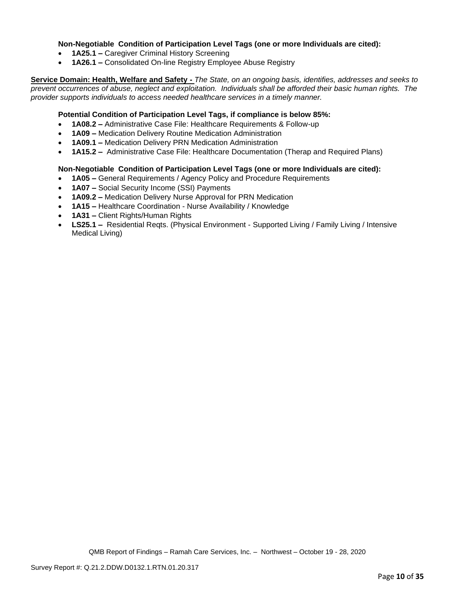#### **Non-Negotiable Condition of Participation Level Tags (one or more Individuals are cited):**

- **1A25.1 –** Caregiver Criminal History Screening
- **1A26.1 –** Consolidated On-line Registry Employee Abuse Registry

**Service Domain: Health, Welfare and Safety -** *The State, on an ongoing basis, identifies, addresses and seeks to prevent occurrences of abuse, neglect and exploitation. Individuals shall be afforded their basic human rights. The provider supports individuals to access needed healthcare services in a timely manner.*

#### **Potential Condition of Participation Level Tags, if compliance is below 85%:**

- **1A08.2 –** Administrative Case File: Healthcare Requirements & Follow-up
- **1A09 –** Medication Delivery Routine Medication Administration
- **1A09.1 –** Medication Delivery PRN Medication Administration
- **1A15.2 –** Administrative Case File: Healthcare Documentation (Therap and Required Plans)

#### **Non-Negotiable Condition of Participation Level Tags (one or more Individuals are cited):**

- **1A05 –** General Requirements / Agency Policy and Procedure Requirements
- **1A07 –** Social Security Income (SSI) Payments
- **1A09.2 –** Medication Delivery Nurse Approval for PRN Medication
- **1A15 –** Healthcare Coordination Nurse Availability / Knowledge
- **1A31 –** Client Rights/Human Rights
- **LS25.1 –** Residential Reqts. (Physical Environment Supported Living / Family Living / Intensive Medical Living)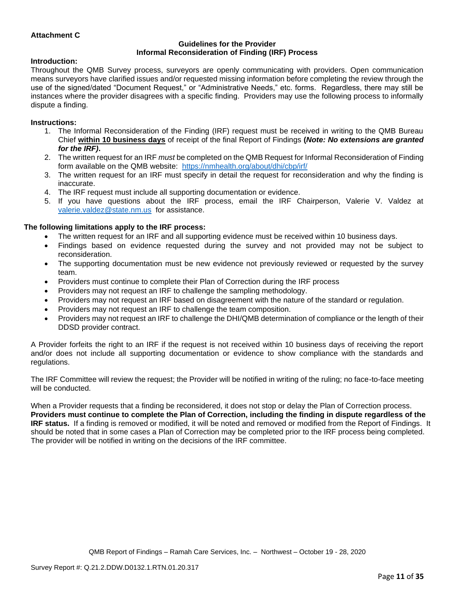### **Attachment C**

#### **Guidelines for the Provider Informal Reconsideration of Finding (IRF) Process**

#### **Introduction:**

Throughout the QMB Survey process, surveyors are openly communicating with providers. Open communication means surveyors have clarified issues and/or requested missing information before completing the review through the use of the signed/dated "Document Request," or "Administrative Needs," etc. forms. Regardless, there may still be instances where the provider disagrees with a specific finding. Providers may use the following process to informally dispute a finding.

#### **Instructions:**

- 1. The Informal Reconsideration of the Finding (IRF) request must be received in writing to the QMB Bureau Chief **within 10 business days** of receipt of the final Report of Findings **(***Note: No extensions are granted for the IRF)***.**
- 2. The written request for an IRF *must* be completed on the QMB Request for Informal Reconsideration of Finding form available on the QMB website: <https://nmhealth.org/about/dhi/cbp/irf/>
- 3. The written request for an IRF must specify in detail the request for reconsideration and why the finding is inaccurate.
- 4. The IRF request must include all supporting documentation or evidence.
- 5. If you have questions about the IRF process, email the IRF Chairperson, Valerie V. Valdez at [valerie.valdez@state.nm.us](mailto:valerie.valdez@state.nm.us) for assistance.

#### **The following limitations apply to the IRF process:**

- The written request for an IRF and all supporting evidence must be received within 10 business days.
- Findings based on evidence requested during the survey and not provided may not be subject to reconsideration.
- The supporting documentation must be new evidence not previously reviewed or requested by the survey team.
- Providers must continue to complete their Plan of Correction during the IRF process
- Providers may not request an IRF to challenge the sampling methodology.
- Providers may not request an IRF based on disagreement with the nature of the standard or regulation.
- Providers may not request an IRF to challenge the team composition.
- Providers may not request an IRF to challenge the DHI/QMB determination of compliance or the length of their DDSD provider contract.

A Provider forfeits the right to an IRF if the request is not received within 10 business days of receiving the report and/or does not include all supporting documentation or evidence to show compliance with the standards and regulations.

The IRF Committee will review the request; the Provider will be notified in writing of the ruling; no face-to-face meeting will be conducted.

When a Provider requests that a finding be reconsidered, it does not stop or delay the Plan of Correction process. **Providers must continue to complete the Plan of Correction, including the finding in dispute regardless of the IRF status.** If a finding is removed or modified, it will be noted and removed or modified from the Report of Findings. It should be noted that in some cases a Plan of Correction may be completed prior to the IRF process being completed. The provider will be notified in writing on the decisions of the IRF committee.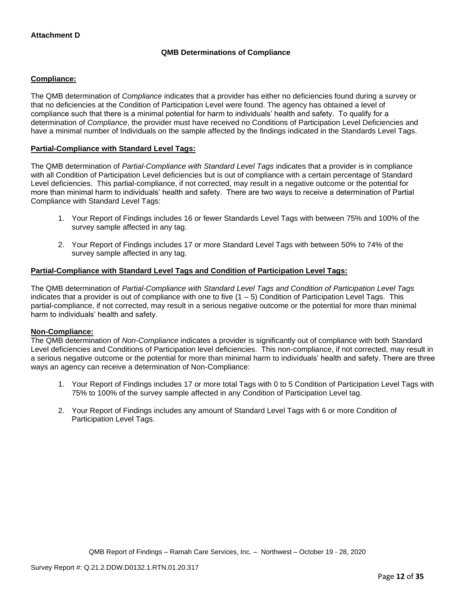### **QMB Determinations of Compliance**

### **Compliance:**

The QMB determination of *Compliance* indicates that a provider has either no deficiencies found during a survey or that no deficiencies at the Condition of Participation Level were found. The agency has obtained a level of compliance such that there is a minimal potential for harm to individuals' health and safety. To qualify for a determination of *Compliance*, the provider must have received no Conditions of Participation Level Deficiencies and have a minimal number of Individuals on the sample affected by the findings indicated in the Standards Level Tags.

#### **Partial-Compliance with Standard Level Tags:**

The QMB determination of *Partial-Compliance with Standard Level Tags* indicates that a provider is in compliance with all Condition of Participation Level deficiencies but is out of compliance with a certain percentage of Standard Level deficiencies. This partial-compliance, if not corrected, may result in a negative outcome or the potential for more than minimal harm to individuals' health and safety. There are two ways to receive a determination of Partial Compliance with Standard Level Tags:

- 1. Your Report of Findings includes 16 or fewer Standards Level Tags with between 75% and 100% of the survey sample affected in any tag.
- 2. Your Report of Findings includes 17 or more Standard Level Tags with between 50% to 74% of the survey sample affected in any tag.

### **Partial-Compliance with Standard Level Tags and Condition of Participation Level Tags:**

The QMB determination of *Partial-Compliance with Standard Level Tags and Condition of Participation Level Tags*  indicates that a provider is out of compliance with one to five  $(1 - 5)$  Condition of Participation Level Tags. This partial-compliance, if not corrected, may result in a serious negative outcome or the potential for more than minimal harm to individuals' health and safety.

#### **Non-Compliance:**

The QMB determination of *Non-Compliance* indicates a provider is significantly out of compliance with both Standard Level deficiencies and Conditions of Participation level deficiencies. This non-compliance, if not corrected, may result in a serious negative outcome or the potential for more than minimal harm to individuals' health and safety. There are three ways an agency can receive a determination of Non-Compliance:

- 1. Your Report of Findings includes 17 or more total Tags with 0 to 5 Condition of Participation Level Tags with 75% to 100% of the survey sample affected in any Condition of Participation Level tag.
- 2. Your Report of Findings includes any amount of Standard Level Tags with 6 or more Condition of Participation Level Tags.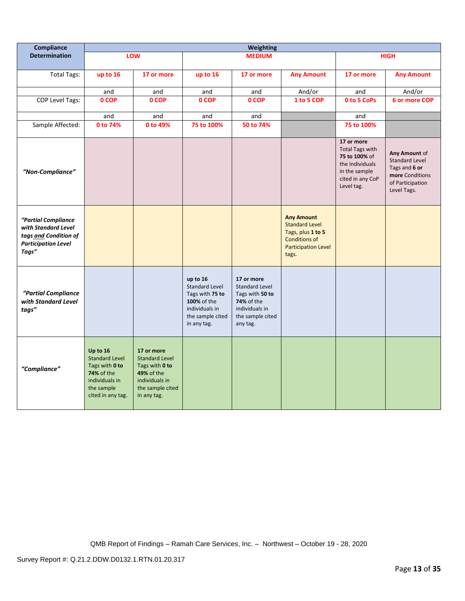| Compliance                                                                                                 | <b>Weighting</b>                                                                                                              |                                                                                                                          |                                                                                                                          |                                                                                                                               |                                                                                                                                |                                                                                                                             |                                                                                                               |
|------------------------------------------------------------------------------------------------------------|-------------------------------------------------------------------------------------------------------------------------------|--------------------------------------------------------------------------------------------------------------------------|--------------------------------------------------------------------------------------------------------------------------|-------------------------------------------------------------------------------------------------------------------------------|--------------------------------------------------------------------------------------------------------------------------------|-----------------------------------------------------------------------------------------------------------------------------|---------------------------------------------------------------------------------------------------------------|
| <b>Determination</b>                                                                                       |                                                                                                                               | LOW                                                                                                                      |                                                                                                                          | <b>MEDIUM</b>                                                                                                                 |                                                                                                                                |                                                                                                                             | <b>HIGH</b>                                                                                                   |
| <b>Total Tags:</b>                                                                                         | up to 16                                                                                                                      | 17 or more                                                                                                               | up to 16                                                                                                                 | 17 or more                                                                                                                    | <b>Any Amount</b>                                                                                                              | 17 or more                                                                                                                  | <b>Any Amount</b>                                                                                             |
|                                                                                                            | and                                                                                                                           | and                                                                                                                      | and                                                                                                                      | and                                                                                                                           | And/or                                                                                                                         | and                                                                                                                         | And/or                                                                                                        |
| <b>COP Level Tags:</b>                                                                                     | 0 COP                                                                                                                         | 0 COP                                                                                                                    | 0 COP                                                                                                                    | 0 COP                                                                                                                         | 1 to 5 COP                                                                                                                     | 0 to 5 CoPs                                                                                                                 | 6 or more COP                                                                                                 |
|                                                                                                            | and                                                                                                                           | and                                                                                                                      | and                                                                                                                      | and                                                                                                                           |                                                                                                                                | and                                                                                                                         |                                                                                                               |
| Sample Affected:                                                                                           | 0 to 74%                                                                                                                      | 0 to 49%                                                                                                                 | 75 to 100%                                                                                                               | 50 to 74%                                                                                                                     |                                                                                                                                | 75 to 100%                                                                                                                  |                                                                                                               |
| "Non-Compliance"                                                                                           |                                                                                                                               |                                                                                                                          |                                                                                                                          |                                                                                                                               |                                                                                                                                | 17 or more<br><b>Total Tags with</b><br>75 to 100% of<br>the Individuals<br>in the sample<br>cited in any CoP<br>Level tag. | Any Amount of<br><b>Standard Level</b><br>Tags and 6 or<br>more Conditions<br>of Participation<br>Level Tags. |
| "Partial Compliance<br>with Standard Level<br>tags and Condition of<br><b>Participation Level</b><br>Tags" |                                                                                                                               |                                                                                                                          |                                                                                                                          |                                                                                                                               | <b>Any Amount</b><br><b>Standard Level</b><br>Tags, plus 1 to 5<br><b>Conditions of</b><br><b>Participation Level</b><br>tags. |                                                                                                                             |                                                                                                               |
| "Partial Compliance<br>with Standard Level<br>tags"                                                        |                                                                                                                               |                                                                                                                          | up to 16<br><b>Standard Level</b><br>Tags with 75 to<br>100% of the<br>individuals in<br>the sample cited<br>in any tag. | 17 or more<br><b>Standard Level</b><br>Tags with 50 to<br><b>74%</b> of the<br>individuals in<br>the sample cited<br>any tag. |                                                                                                                                |                                                                                                                             |                                                                                                               |
| "Compliance"                                                                                               | Up to 16<br><b>Standard Level</b><br>Tags with 0 to<br><b>74% of the</b><br>individuals in<br>the sample<br>cited in any tag. | 17 or more<br><b>Standard Level</b><br>Tags with 0 to<br>49% of the<br>individuals in<br>the sample cited<br>in any tag. |                                                                                                                          |                                                                                                                               |                                                                                                                                |                                                                                                                             |                                                                                                               |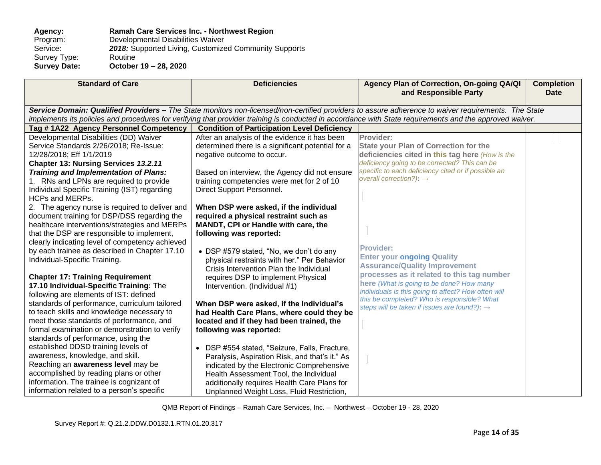#### **Agency: Ramah Care Services Inc. - Northwest Region** Program: Developmental Disabilities Waiver<br>Service: 2018: Supported Living, Customize 2018: Supported Living, Customized Community Supports Routine Survey Type:<br>Survey Date: **Survey Date: October 19 – 28, 2020**

| <b>Standard of Care</b>                                                                       | <b>Deficiencies</b>                                                             | Agency Plan of Correction, On-going QA/QI<br>and Responsible Party                                                                                      | <b>Completion</b><br><b>Date</b> |
|-----------------------------------------------------------------------------------------------|---------------------------------------------------------------------------------|---------------------------------------------------------------------------------------------------------------------------------------------------------|----------------------------------|
|                                                                                               |                                                                                 | Service Domain: Qualified Providers - The State monitors non-licensed/non-certified providers to assure adherence to waiver requirements. The State     |                                  |
|                                                                                               |                                                                                 | implements its policies and procedures for verifying that provider training is conducted in accordance with State requirements and the approved waiver. |                                  |
| Tag #1A22 Agency Personnel Competency                                                         | <b>Condition of Participation Level Deficiency</b>                              |                                                                                                                                                         |                                  |
| Developmental Disabilities (DD) Waiver                                                        | After an analysis of the evidence it has been                                   | Provider:                                                                                                                                               |                                  |
| Service Standards 2/26/2018; Re-Issue:                                                        | determined there is a significant potential for a                               | <b>State your Plan of Correction for the</b>                                                                                                            |                                  |
| 12/28/2018; Eff 1/1/2019                                                                      | negative outcome to occur.                                                      | deficiencies cited in this tag here (How is the                                                                                                         |                                  |
| Chapter 13: Nursing Services 13.2.11                                                          |                                                                                 | deficiency going to be corrected? This can be                                                                                                           |                                  |
| Training and Implementation of Plans:                                                         | Based on interview, the Agency did not ensure                                   | specific to each deficiency cited or if possible an<br>overall correction?): $\rightarrow$                                                              |                                  |
| 1. RNs and LPNs are required to provide                                                       | training competencies were met for 2 of 10                                      |                                                                                                                                                         |                                  |
| Individual Specific Training (IST) regarding                                                  | Direct Support Personnel.                                                       |                                                                                                                                                         |                                  |
| <b>HCPs and MERPs.</b>                                                                        |                                                                                 |                                                                                                                                                         |                                  |
| 2. The agency nurse is required to deliver and<br>document training for DSP/DSS regarding the | When DSP were asked, if the individual<br>required a physical restraint such as |                                                                                                                                                         |                                  |
| healthcare interventions/strategies and MERPs                                                 | MANDT, CPI or Handle with care, the                                             |                                                                                                                                                         |                                  |
| that the DSP are responsible to implement,                                                    | following was reported:                                                         |                                                                                                                                                         |                                  |
| clearly indicating level of competency achieved                                               |                                                                                 |                                                                                                                                                         |                                  |
| by each trainee as described in Chapter 17.10                                                 | • DSP #579 stated, "No, we don't do any                                         | <b>Provider:</b>                                                                                                                                        |                                  |
| Individual-Specific Training.                                                                 | physical restraints with her." Per Behavior                                     | <b>Enter your ongoing Quality</b>                                                                                                                       |                                  |
|                                                                                               | Crisis Intervention Plan the Individual                                         | <b>Assurance/Quality Improvement</b>                                                                                                                    |                                  |
| <b>Chapter 17: Training Requirement</b>                                                       | requires DSP to implement Physical                                              | processes as it related to this tag number                                                                                                              |                                  |
| 17.10 Individual-Specific Training: The                                                       | Intervention. (Individual #1)                                                   | here (What is going to be done? How many                                                                                                                |                                  |
| following are elements of IST: defined                                                        |                                                                                 | individuals is this going to affect? How often will                                                                                                     |                                  |
| standards of performance, curriculum tailored                                                 | When DSP were asked, if the Individual's                                        | this be completed? Who is responsible? What<br>steps will be taken if issues are found?): $\rightarrow$                                                 |                                  |
| to teach skills and knowledge necessary to                                                    | had Health Care Plans, where could they be                                      |                                                                                                                                                         |                                  |
| meet those standards of performance, and                                                      | located and if they had been trained, the                                       |                                                                                                                                                         |                                  |
| formal examination or demonstration to verify                                                 | following was reported:                                                         |                                                                                                                                                         |                                  |
| standards of performance, using the                                                           |                                                                                 |                                                                                                                                                         |                                  |
| established DDSD training levels of                                                           | • DSP #554 stated, "Seizure, Falls, Fracture,                                   |                                                                                                                                                         |                                  |
| awareness, knowledge, and skill.                                                              | Paralysis, Aspiration Risk, and that's it." As                                  |                                                                                                                                                         |                                  |
| Reaching an awareness level may be                                                            | indicated by the Electronic Comprehensive                                       |                                                                                                                                                         |                                  |
| accomplished by reading plans or other                                                        | Health Assessment Tool, the Individual                                          |                                                                                                                                                         |                                  |
| information. The trainee is cognizant of                                                      | additionally requires Health Care Plans for                                     |                                                                                                                                                         |                                  |
| information related to a person's specific                                                    | Unplanned Weight Loss, Fluid Restriction,                                       |                                                                                                                                                         |                                  |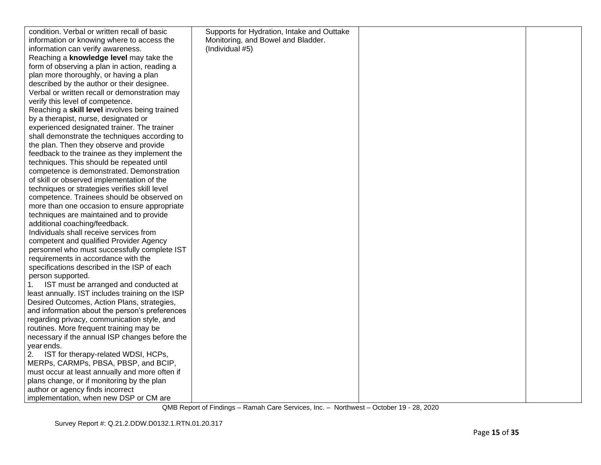| condition. Verbal or written recall of basic     | Supports for Hydration, Intake and Outtake |  |
|--------------------------------------------------|--------------------------------------------|--|
| information or knowing where to access the       | Monitoring, and Bowel and Bladder.         |  |
| information can verify awareness.                | (Individual #5)                            |  |
| Reaching a knowledge level may take the          |                                            |  |
| form of observing a plan in action, reading a    |                                            |  |
| plan more thoroughly, or having a plan           |                                            |  |
| described by the author or their designee.       |                                            |  |
| Verbal or written recall or demonstration may    |                                            |  |
| verify this level of competence.                 |                                            |  |
| Reaching a skill level involves being trained    |                                            |  |
| by a therapist, nurse, designated or             |                                            |  |
| experienced designated trainer. The trainer      |                                            |  |
| shall demonstrate the techniques according to    |                                            |  |
| the plan. Then they observe and provide          |                                            |  |
| feedback to the trainee as they implement the    |                                            |  |
| techniques. This should be repeated until        |                                            |  |
| competence is demonstrated. Demonstration        |                                            |  |
| of skill or observed implementation of the       |                                            |  |
| techniques or strategies verifies skill level    |                                            |  |
| competence. Trainees should be observed on       |                                            |  |
| more than one occasion to ensure appropriate     |                                            |  |
| techniques are maintained and to provide         |                                            |  |
| additional coaching/feedback.                    |                                            |  |
| Individuals shall receive services from          |                                            |  |
| competent and qualified Provider Agency          |                                            |  |
| personnel who must successfully complete IST     |                                            |  |
| requirements in accordance with the              |                                            |  |
| specifications described in the ISP of each      |                                            |  |
| person supported.                                |                                            |  |
| IST must be arranged and conducted at            |                                            |  |
| least annually. IST includes training on the ISP |                                            |  |
| Desired Outcomes, Action Plans, strategies,      |                                            |  |
| and information about the person's preferences   |                                            |  |
| regarding privacy, communication style, and      |                                            |  |
| routines. More frequent training may be          |                                            |  |
| necessary if the annual ISP changes before the   |                                            |  |
| year ends.                                       |                                            |  |
| 2. IST for therapy-related WDSI, HCPs,           |                                            |  |
| MERPs, CARMPs, PBSA, PBSP, and BCIP,             |                                            |  |
| must occur at least annually and more often if   |                                            |  |
| plans change, or if monitoring by the plan       |                                            |  |
| author or agency finds incorrect                 |                                            |  |
| implementation, when new DSP or CM are           |                                            |  |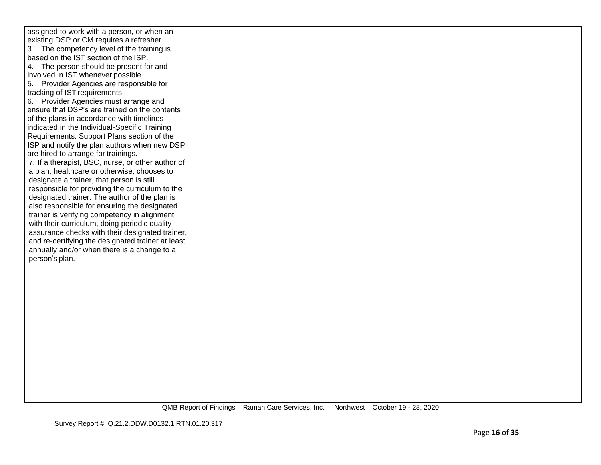| assigned to work with a person, or when an        |  |  |
|---------------------------------------------------|--|--|
| existing DSP or CM requires a refresher.          |  |  |
|                                                   |  |  |
| 3. The competency level of the training is        |  |  |
| based on the IST section of the ISP.              |  |  |
| 4. The person should be present for and           |  |  |
| involved in IST whenever possible.                |  |  |
| 5. Provider Agencies are responsible for          |  |  |
| tracking of IST requirements.                     |  |  |
| 6. Provider Agencies must arrange and             |  |  |
| ensure that DSP's are trained on the contents     |  |  |
| of the plans in accordance with timelines         |  |  |
|                                                   |  |  |
| indicated in the Individual-Specific Training     |  |  |
| Requirements: Support Plans section of the        |  |  |
| ISP and notify the plan authors when new DSP      |  |  |
| are hired to arrange for trainings.               |  |  |
| 7. If a therapist, BSC, nurse, or other author of |  |  |
| a plan, healthcare or otherwise, chooses to       |  |  |
| designate a trainer, that person is still         |  |  |
| responsible for providing the curriculum to the   |  |  |
| designated trainer. The author of the plan is     |  |  |
| also responsible for ensuring the designated      |  |  |
| trainer is verifying competency in alignment      |  |  |
| with their curriculum, doing periodic quality     |  |  |
|                                                   |  |  |
| assurance checks with their designated trainer,   |  |  |
| and re-certifying the designated trainer at least |  |  |
| annually and/or when there is a change to a       |  |  |
| person's plan.                                    |  |  |
|                                                   |  |  |
|                                                   |  |  |
|                                                   |  |  |
|                                                   |  |  |
|                                                   |  |  |
|                                                   |  |  |
|                                                   |  |  |
|                                                   |  |  |
|                                                   |  |  |
|                                                   |  |  |
|                                                   |  |  |
|                                                   |  |  |
|                                                   |  |  |
|                                                   |  |  |
|                                                   |  |  |
|                                                   |  |  |
|                                                   |  |  |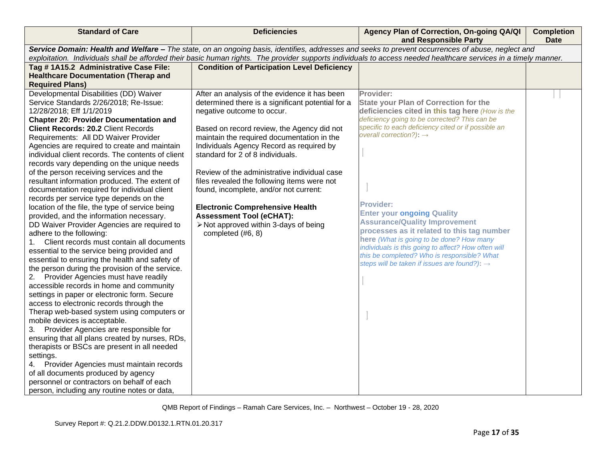| <b>Standard of Care</b>                                                                                                                                          | <b>Deficiencies</b>                                | Agency Plan of Correction, On-going QA/QI<br>and Responsible Party                                                                                | <b>Completion</b><br>Date |
|------------------------------------------------------------------------------------------------------------------------------------------------------------------|----------------------------------------------------|---------------------------------------------------------------------------------------------------------------------------------------------------|---------------------------|
|                                                                                                                                                                  |                                                    | Service Domain: Health and Welfare - The state, on an ongoing basis, identifies, addresses and seeks to prevent occurrences of abuse, neglect and |                           |
| exploitation. Individuals shall be afforded their basic human rights. The provider supports individuals to access needed healthcare services in a timely manner. |                                                    |                                                                                                                                                   |                           |
| Tag #1A15.2 Administrative Case File:                                                                                                                            | <b>Condition of Participation Level Deficiency</b> |                                                                                                                                                   |                           |
| <b>Healthcare Documentation (Therap and</b>                                                                                                                      |                                                    |                                                                                                                                                   |                           |
| <b>Required Plans)</b>                                                                                                                                           |                                                    |                                                                                                                                                   |                           |
| Developmental Disabilities (DD) Waiver                                                                                                                           | After an analysis of the evidence it has been      | Provider:                                                                                                                                         |                           |
| Service Standards 2/26/2018; Re-Issue:                                                                                                                           | determined there is a significant potential for a  | <b>State your Plan of Correction for the</b>                                                                                                      |                           |
| 12/28/2018; Eff 1/1/2019                                                                                                                                         | negative outcome to occur.                         | deficiencies cited in this tag here (How is the                                                                                                   |                           |
| <b>Chapter 20: Provider Documentation and</b>                                                                                                                    |                                                    | deficiency going to be corrected? This can be                                                                                                     |                           |
| Client Records: 20.2 Client Records                                                                                                                              | Based on record review, the Agency did not         | specific to each deficiency cited or if possible an                                                                                               |                           |
| Requirements: All DD Waiver Provider                                                                                                                             | maintain the required documentation in the         | overall correction?): $\rightarrow$                                                                                                               |                           |
| Agencies are required to create and maintain                                                                                                                     | Individuals Agency Record as required by           |                                                                                                                                                   |                           |
| individual client records. The contents of client                                                                                                                | standard for 2 of 8 individuals.                   |                                                                                                                                                   |                           |
| records vary depending on the unique needs                                                                                                                       |                                                    |                                                                                                                                                   |                           |
| of the person receiving services and the                                                                                                                         | Review of the administrative individual case       |                                                                                                                                                   |                           |
| resultant information produced. The extent of                                                                                                                    | files revealed the following items were not        |                                                                                                                                                   |                           |
| documentation required for individual client                                                                                                                     | found, incomplete, and/or not current:             |                                                                                                                                                   |                           |
| records per service type depends on the                                                                                                                          |                                                    | <b>Provider:</b>                                                                                                                                  |                           |
| location of the file, the type of service being                                                                                                                  | <b>Electronic Comprehensive Health</b>             | <b>Enter your ongoing Quality</b>                                                                                                                 |                           |
| provided, and the information necessary.                                                                                                                         | <b>Assessment Tool (eCHAT):</b>                    | <b>Assurance/Quality Improvement</b>                                                                                                              |                           |
| DD Waiver Provider Agencies are required to                                                                                                                      | > Not approved within 3-days of being              | processes as it related to this tag number                                                                                                        |                           |
| adhere to the following:                                                                                                                                         | completed (#6, 8)                                  | here (What is going to be done? How many                                                                                                          |                           |
| Client records must contain all documents<br>1.                                                                                                                  |                                                    | individuals is this going to affect? How often will                                                                                               |                           |
| essential to the service being provided and                                                                                                                      |                                                    | this be completed? Who is responsible? What                                                                                                       |                           |
| essential to ensuring the health and safety of                                                                                                                   |                                                    | steps will be taken if issues are found?): →                                                                                                      |                           |
| the person during the provision of the service.                                                                                                                  |                                                    |                                                                                                                                                   |                           |
| Provider Agencies must have readily<br>2.<br>accessible records in home and community                                                                            |                                                    |                                                                                                                                                   |                           |
| settings in paper or electronic form. Secure                                                                                                                     |                                                    |                                                                                                                                                   |                           |
| access to electronic records through the                                                                                                                         |                                                    |                                                                                                                                                   |                           |
| Therap web-based system using computers or                                                                                                                       |                                                    |                                                                                                                                                   |                           |
| mobile devices is acceptable.                                                                                                                                    |                                                    |                                                                                                                                                   |                           |
| Provider Agencies are responsible for<br>3.                                                                                                                      |                                                    |                                                                                                                                                   |                           |
| ensuring that all plans created by nurses, RDs,                                                                                                                  |                                                    |                                                                                                                                                   |                           |
| therapists or BSCs are present in all needed                                                                                                                     |                                                    |                                                                                                                                                   |                           |
| settings.                                                                                                                                                        |                                                    |                                                                                                                                                   |                           |
| Provider Agencies must maintain records<br>4.                                                                                                                    |                                                    |                                                                                                                                                   |                           |
| of all documents produced by agency                                                                                                                              |                                                    |                                                                                                                                                   |                           |
| personnel or contractors on behalf of each                                                                                                                       |                                                    |                                                                                                                                                   |                           |
| person, including any routine notes or data,                                                                                                                     |                                                    |                                                                                                                                                   |                           |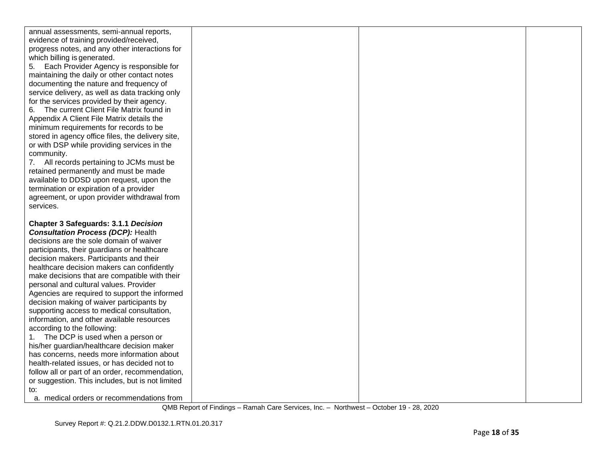| annual assessments, semi-annual reports,                |  |  |
|---------------------------------------------------------|--|--|
| evidence of training provided/received,                 |  |  |
| progress notes, and any other interactions for          |  |  |
| which billing is generated.                             |  |  |
| Each Provider Agency is responsible for<br>5.           |  |  |
| maintaining the daily or other contact notes            |  |  |
| documenting the nature and frequency of                 |  |  |
| service delivery, as well as data tracking only         |  |  |
| for the services provided by their agency.              |  |  |
| The current Client File Matrix found in<br>6.           |  |  |
| Appendix A Client File Matrix details the               |  |  |
| minimum requirements for records to be                  |  |  |
| stored in agency office files, the delivery site,       |  |  |
| or with DSP while providing services in the             |  |  |
| community.                                              |  |  |
| 7. All records pertaining to JCMs must be               |  |  |
| retained permanently and must be made                   |  |  |
| available to DDSD upon request, upon the                |  |  |
| termination or expiration of a provider                 |  |  |
| agreement, or upon provider withdrawal from             |  |  |
| services.                                               |  |  |
|                                                         |  |  |
|                                                         |  |  |
| <b>Chapter 3 Safeguards: 3.1.1 Decision</b>             |  |  |
| <b>Consultation Process (DCP): Health</b>               |  |  |
| decisions are the sole domain of waiver                 |  |  |
| participants, their guardians or healthcare             |  |  |
| decision makers. Participants and their                 |  |  |
| healthcare decision makers can confidently              |  |  |
| make decisions that are compatible with their           |  |  |
| personal and cultural values. Provider                  |  |  |
| Agencies are required to support the informed           |  |  |
| decision making of waiver participants by               |  |  |
| supporting access to medical consultation,              |  |  |
| information, and other available resources              |  |  |
| according to the following:                             |  |  |
| The DCP is used when a person or<br>1.                  |  |  |
| his/her guardian/healthcare decision maker              |  |  |
| has concerns, needs more information about              |  |  |
| health-related issues, or has decided not to            |  |  |
| follow all or part of an order, recommendation,         |  |  |
| or suggestion. This includes, but is not limited<br>to: |  |  |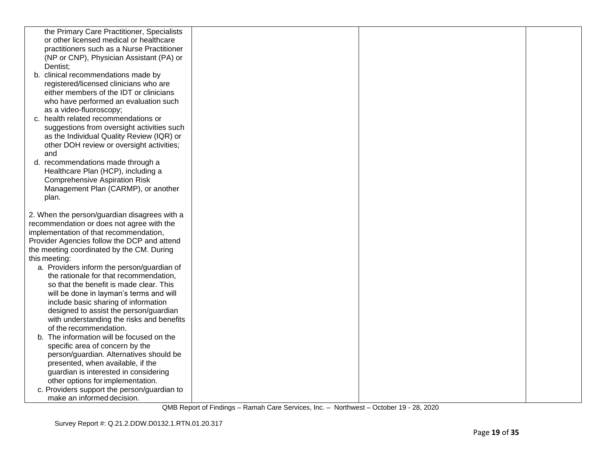| the Primary Care Practitioner, Specialists   |  |  |
|----------------------------------------------|--|--|
| or other licensed medical or healthcare      |  |  |
| practitioners such as a Nurse Practitioner   |  |  |
| (NP or CNP), Physician Assistant (PA) or     |  |  |
| Dentist:                                     |  |  |
| b. clinical recommendations made by          |  |  |
| registered/licensed clinicians who are       |  |  |
| either members of the IDT or clinicians      |  |  |
| who have performed an evaluation such        |  |  |
| as a video-fluoroscopy;                      |  |  |
| c. health related recommendations or         |  |  |
| suggestions from oversight activities such   |  |  |
| as the Individual Quality Review (IQR) or    |  |  |
| other DOH review or oversight activities;    |  |  |
| and                                          |  |  |
| d. recommendations made through a            |  |  |
| Healthcare Plan (HCP), including a           |  |  |
| <b>Comprehensive Aspiration Risk</b>         |  |  |
| Management Plan (CARMP), or another          |  |  |
| plan.                                        |  |  |
| 2. When the person/guardian disagrees with a |  |  |
| recommendation or does not agree with the    |  |  |
| implementation of that recommendation,       |  |  |
| Provider Agencies follow the DCP and attend  |  |  |
| the meeting coordinated by the CM. During    |  |  |
| this meeting:                                |  |  |
| a. Providers inform the person/guardian of   |  |  |
| the rationale for that recommendation,       |  |  |
| so that the benefit is made clear. This      |  |  |
| will be done in layman's terms and will      |  |  |
| include basic sharing of information         |  |  |
| designed to assist the person/guardian       |  |  |
| with understanding the risks and benefits    |  |  |
| of the recommendation.                       |  |  |
| b. The information will be focused on the    |  |  |
| specific area of concern by the              |  |  |
| person/guardian. Alternatives should be      |  |  |
| presented, when available, if the            |  |  |
| guardian is interested in considering        |  |  |
| other options for implementation.            |  |  |
| c. Providers support the person/guardian to  |  |  |
| make an informed decision.                   |  |  |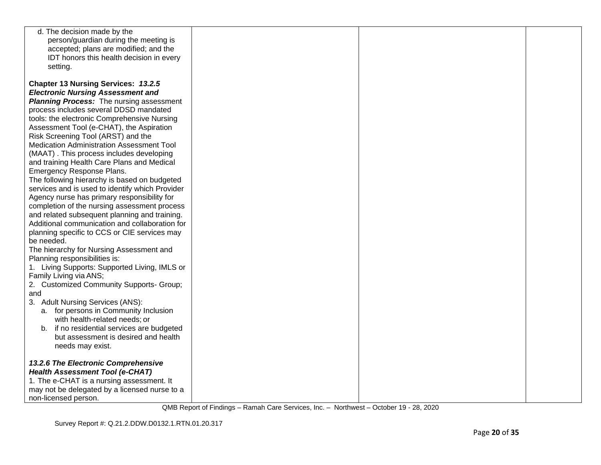| d. The decision made by the                     |  |  |
|-------------------------------------------------|--|--|
| person/guardian during the meeting is           |  |  |
| accepted; plans are modified; and the           |  |  |
|                                                 |  |  |
| IDT honors this health decision in every        |  |  |
| setting.                                        |  |  |
|                                                 |  |  |
| <b>Chapter 13 Nursing Services: 13.2.5</b>      |  |  |
| <b>Electronic Nursing Assessment and</b>        |  |  |
| <b>Planning Process:</b> The nursing assessment |  |  |
| process includes several DDSD mandated          |  |  |
| tools: the electronic Comprehensive Nursing     |  |  |
| Assessment Tool (e-CHAT), the Aspiration        |  |  |
| Risk Screening Tool (ARST) and the              |  |  |
| Medication Administration Assessment Tool       |  |  |
| (MAAT). This process includes developing        |  |  |
| and training Health Care Plans and Medical      |  |  |
| Emergency Response Plans.                       |  |  |
| The following hierarchy is based on budgeted    |  |  |
| services and is used to identify which Provider |  |  |
| Agency nurse has primary responsibility for     |  |  |
| completion of the nursing assessment process    |  |  |
| and related subsequent planning and training.   |  |  |
| Additional communication and collaboration for  |  |  |
|                                                 |  |  |
| planning specific to CCS or CIE services may    |  |  |
| be needed.                                      |  |  |
| The hierarchy for Nursing Assessment and        |  |  |
| Planning responsibilities is:                   |  |  |
| 1. Living Supports: Supported Living, IMLS or   |  |  |
| Family Living via ANS;                          |  |  |
| 2. Customized Community Supports- Group;        |  |  |
| and                                             |  |  |
| 3. Adult Nursing Services (ANS):                |  |  |
| a. for persons in Community Inclusion           |  |  |
| with health-related needs; or                   |  |  |
| b. if no residential services are budgeted      |  |  |
| but assessment is desired and health            |  |  |
| needs may exist.                                |  |  |
|                                                 |  |  |
| 13.2.6 The Electronic Comprehensive             |  |  |
| <b>Health Assessment Tool (e-CHAT)</b>          |  |  |
| 1. The e-CHAT is a nursing assessment. It       |  |  |
| may not be delegated by a licensed nurse to a   |  |  |
| non-licensed person.                            |  |  |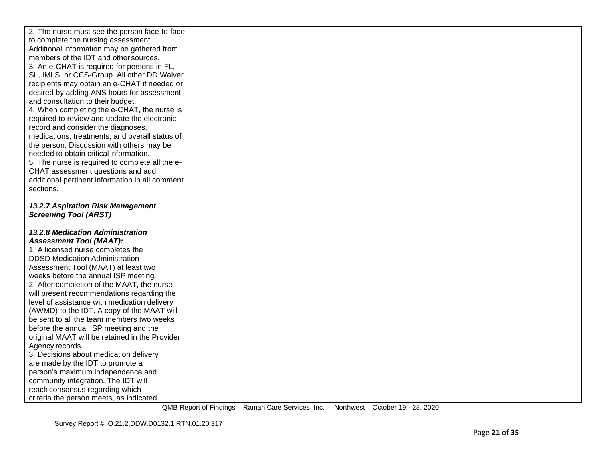| 2. The nurse must see the person face-to-face                              |  |  |
|----------------------------------------------------------------------------|--|--|
| to complete the nursing assessment.                                        |  |  |
| Additional information may be gathered from                                |  |  |
| members of the IDT and other sources.                                      |  |  |
| 3. An e-CHAT is required for persons in FL,                                |  |  |
| SL, IMLS, or CCS-Group. All other DD Waiver                                |  |  |
| recipients may obtain an e-CHAT if needed or                               |  |  |
| desired by adding ANS hours for assessment                                 |  |  |
| and consultation to their budget.                                          |  |  |
| 4. When completing the e-CHAT, the nurse is                                |  |  |
| required to review and update the electronic                               |  |  |
| record and consider the diagnoses,                                         |  |  |
| medications, treatments, and overall status of                             |  |  |
| the person. Discussion with others may be                                  |  |  |
| needed to obtain critical information.                                     |  |  |
| 5. The nurse is required to complete all the e-                            |  |  |
| CHAT assessment questions and add                                          |  |  |
| additional pertinent information in all comment                            |  |  |
| sections.                                                                  |  |  |
|                                                                            |  |  |
| <b>13.2.7 Aspiration Risk Management</b>                                   |  |  |
| <b>Screening Tool (ARST)</b>                                               |  |  |
|                                                                            |  |  |
| <b>13.2.8 Medication Administration</b>                                    |  |  |
| <b>Assessment Tool (MAAT):</b>                                             |  |  |
| 1. A licensed nurse completes the                                          |  |  |
| <b>DDSD Medication Administration</b>                                      |  |  |
| Assessment Tool (MAAT) at least two                                        |  |  |
|                                                                            |  |  |
| weeks before the annual ISP meeting.                                       |  |  |
| 2. After completion of the MAAT, the nurse                                 |  |  |
| will present recommendations regarding the                                 |  |  |
| level of assistance with medication delivery                               |  |  |
| (AWMD) to the IDT. A copy of the MAAT will                                 |  |  |
| be sent to all the team members two weeks                                  |  |  |
| before the annual ISP meeting and the                                      |  |  |
| original MAAT will be retained in the Provider                             |  |  |
| Agency records.                                                            |  |  |
| 3. Decisions about medication delivery                                     |  |  |
| are made by the IDT to promote a                                           |  |  |
| person's maximum independence and                                          |  |  |
| community integration. The IDT will                                        |  |  |
| reach consensus regarding which<br>criteria the person meets, as indicated |  |  |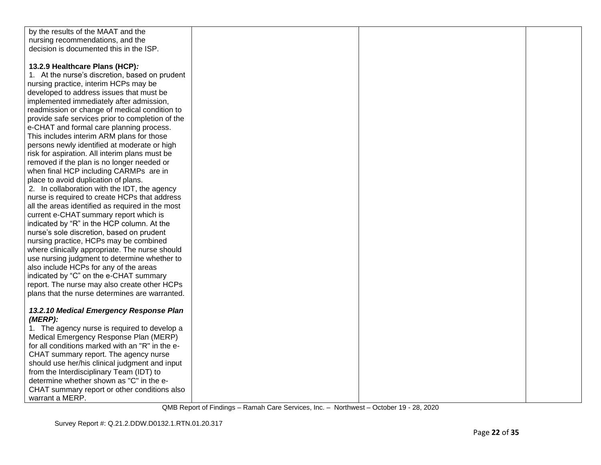| by the results of the MAAT and the               |  |  |
|--------------------------------------------------|--|--|
| nursing recommendations, and the                 |  |  |
| decision is documented this in the ISP.          |  |  |
|                                                  |  |  |
| 13.2.9 Healthcare Plans (HCP):                   |  |  |
| 1. At the nurse's discretion, based on prudent   |  |  |
| nursing practice, interim HCPs may be            |  |  |
| developed to address issues that must be         |  |  |
| implemented immediately after admission,         |  |  |
| readmission or change of medical condition to    |  |  |
| provide safe services prior to completion of the |  |  |
| e-CHAT and formal care planning process.         |  |  |
| This includes interim ARM plans for those        |  |  |
| persons newly identified at moderate or high     |  |  |
| risk for aspiration. All interim plans must be   |  |  |
| removed if the plan is no longer needed or       |  |  |
| when final HCP including CARMPs are in           |  |  |
| place to avoid duplication of plans.             |  |  |
| 2. In collaboration with the IDT, the agency     |  |  |
| nurse is required to create HCPs that address    |  |  |
| all the areas identified as required in the most |  |  |
| current e-CHAT summary report which is           |  |  |
| indicated by "R" in the HCP column. At the       |  |  |
| nurse's sole discretion, based on prudent        |  |  |
| nursing practice, HCPs may be combined           |  |  |
| where clinically appropriate. The nurse should   |  |  |
| use nursing judgment to determine whether to     |  |  |
| also include HCPs for any of the areas           |  |  |
| indicated by "C" on the e-CHAT summary           |  |  |
| report. The nurse may also create other HCPs     |  |  |
| plans that the nurse determines are warranted.   |  |  |
|                                                  |  |  |
| 13.2.10 Medical Emergency Response Plan          |  |  |
| $(MERP)$ :                                       |  |  |
| 1. The agency nurse is required to develop a     |  |  |
| Medical Emergency Response Plan (MERP)           |  |  |
| for all conditions marked with an "R" in the e-  |  |  |
| CHAT summary report. The agency nurse            |  |  |
| should use her/his clinical judgment and input   |  |  |
| from the Interdisciplinary Team (IDT) to         |  |  |
| determine whether shown as "C" in the e-         |  |  |
| CHAT summary report or other conditions also     |  |  |
| warrant a MERP.                                  |  |  |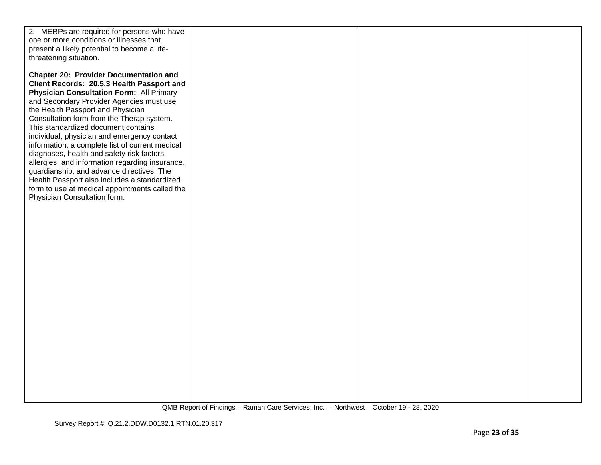| 2. MERPs are required for persons who have      |  |  |
|-------------------------------------------------|--|--|
| one or more conditions or illnesses that        |  |  |
| present a likely potential to become a life-    |  |  |
| threatening situation.                          |  |  |
|                                                 |  |  |
| <b>Chapter 20: Provider Documentation and</b>   |  |  |
| Client Records: 20.5.3 Health Passport and      |  |  |
| <b>Physician Consultation Form: All Primary</b> |  |  |
| and Secondary Provider Agencies must use        |  |  |
| the Health Passport and Physician               |  |  |
| Consultation form from the Therap system.       |  |  |
| This standardized document contains             |  |  |
| individual, physician and emergency contact     |  |  |
| information, a complete list of current medical |  |  |
| diagnoses, health and safety risk factors,      |  |  |
| allergies, and information regarding insurance, |  |  |
| guardianship, and advance directives. The       |  |  |
| Health Passport also includes a standardized    |  |  |
| form to use at medical appointments called the  |  |  |
| Physician Consultation form.                    |  |  |
|                                                 |  |  |
|                                                 |  |  |
|                                                 |  |  |
|                                                 |  |  |
|                                                 |  |  |
|                                                 |  |  |
|                                                 |  |  |
|                                                 |  |  |
|                                                 |  |  |
|                                                 |  |  |
|                                                 |  |  |
|                                                 |  |  |
|                                                 |  |  |
|                                                 |  |  |
|                                                 |  |  |
|                                                 |  |  |
|                                                 |  |  |
|                                                 |  |  |
|                                                 |  |  |
|                                                 |  |  |
|                                                 |  |  |
|                                                 |  |  |
|                                                 |  |  |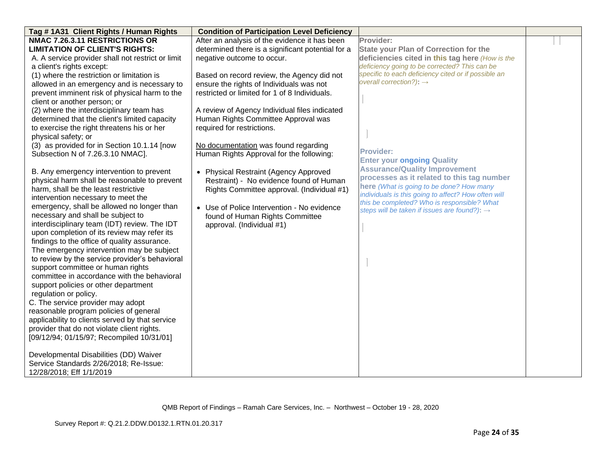| Tag #1A31 Client Rights / Human Rights            | <b>Condition of Participation Level Deficiency</b> |                                                     |  |
|---------------------------------------------------|----------------------------------------------------|-----------------------------------------------------|--|
| NMAC 7.26.3.11 RESTRICTIONS OR                    | After an analysis of the evidence it has been      | Provider:                                           |  |
| <b>LIMITATION OF CLIENT'S RIGHTS:</b>             | determined there is a significant potential for a  | <b>State your Plan of Correction for the</b>        |  |
| A. A service provider shall not restrict or limit | negative outcome to occur.                         | deficiencies cited in this tag here (How is the     |  |
| a client's rights except:                         |                                                    | deficiency going to be corrected? This can be       |  |
| (1) where the restriction or limitation is        | Based on record review, the Agency did not         | specific to each deficiency cited or if possible an |  |
| allowed in an emergency and is necessary to       | ensure the rights of Individuals was not           | overall correction?): $\rightarrow$                 |  |
| prevent imminent risk of physical harm to the     | restricted or limited for 1 of 8 Individuals.      |                                                     |  |
| client or another person; or                      |                                                    |                                                     |  |
| (2) where the interdisciplinary team has          | A review of Agency Individual files indicated      |                                                     |  |
| determined that the client's limited capacity     | Human Rights Committee Approval was                |                                                     |  |
| to exercise the right threatens his or her        | required for restrictions.                         |                                                     |  |
| physical safety; or                               |                                                    |                                                     |  |
| (3) as provided for in Section 10.1.14 [now       | No documentation was found regarding               |                                                     |  |
| Subsection N of 7.26.3.10 NMAC].                  | Human Rights Approval for the following:           | <b>Provider:</b>                                    |  |
|                                                   |                                                    | <b>Enter your ongoing Quality</b>                   |  |
| B. Any emergency intervention to prevent          | • Physical Restraint (Agency Approved              | <b>Assurance/Quality Improvement</b>                |  |
| physical harm shall be reasonable to prevent      | Restraint) - No evidence found of Human            | processes as it related to this tag number          |  |
| harm, shall be the least restrictive              | Rights Committee approval. (Individual #1)         | here (What is going to be done? How many            |  |
| intervention necessary to meet the                |                                                    | individuals is this going to affect? How often will |  |
| emergency, shall be allowed no longer than        | • Use of Police Intervention - No evidence         | this be completed? Who is responsible? What         |  |
| necessary and shall be subject to                 | found of Human Rights Committee                    | steps will be taken if issues are found?): →        |  |
| interdisciplinary team (IDT) review. The IDT      | approval. (Individual #1)                          |                                                     |  |
| upon completion of its review may refer its       |                                                    |                                                     |  |
| findings to the office of quality assurance.      |                                                    |                                                     |  |
| The emergency intervention may be subject         |                                                    |                                                     |  |
| to review by the service provider's behavioral    |                                                    |                                                     |  |
| support committee or human rights                 |                                                    |                                                     |  |
| committee in accordance with the behavioral       |                                                    |                                                     |  |
| support policies or other department              |                                                    |                                                     |  |
| regulation or policy.                             |                                                    |                                                     |  |
| C. The service provider may adopt                 |                                                    |                                                     |  |
| reasonable program policies of general            |                                                    |                                                     |  |
| applicability to clients served by that service   |                                                    |                                                     |  |
| provider that do not violate client rights.       |                                                    |                                                     |  |
| [09/12/94; 01/15/97; Recompiled 10/31/01]         |                                                    |                                                     |  |
|                                                   |                                                    |                                                     |  |
| Developmental Disabilities (DD) Waiver            |                                                    |                                                     |  |
| Service Standards 2/26/2018; Re-Issue:            |                                                    |                                                     |  |
| 12/28/2018; Eff 1/1/2019                          |                                                    |                                                     |  |
|                                                   |                                                    |                                                     |  |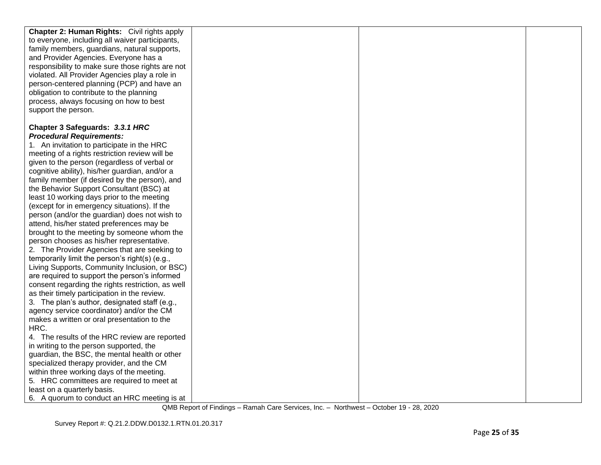| Chapter 2: Human Rights: Civil rights apply                                                                                                                                                                                                                                                                  |  |  |
|--------------------------------------------------------------------------------------------------------------------------------------------------------------------------------------------------------------------------------------------------------------------------------------------------------------|--|--|
| to everyone, including all waiver participants,                                                                                                                                                                                                                                                              |  |  |
| family members, guardians, natural supports,                                                                                                                                                                                                                                                                 |  |  |
| and Provider Agencies. Everyone has a                                                                                                                                                                                                                                                                        |  |  |
| responsibility to make sure those rights are not                                                                                                                                                                                                                                                             |  |  |
| violated. All Provider Agencies play a role in                                                                                                                                                                                                                                                               |  |  |
| person-centered planning (PCP) and have an                                                                                                                                                                                                                                                                   |  |  |
| obligation to contribute to the planning                                                                                                                                                                                                                                                                     |  |  |
| process, always focusing on how to best                                                                                                                                                                                                                                                                      |  |  |
| support the person.                                                                                                                                                                                                                                                                                          |  |  |
|                                                                                                                                                                                                                                                                                                              |  |  |
| Chapter 3 Safeguards: 3.3.1 HRC                                                                                                                                                                                                                                                                              |  |  |
| <b>Procedural Requirements:</b>                                                                                                                                                                                                                                                                              |  |  |
| 1. An invitation to participate in the HRC                                                                                                                                                                                                                                                                   |  |  |
| meeting of a rights restriction review will be                                                                                                                                                                                                                                                               |  |  |
| given to the person (regardless of verbal or                                                                                                                                                                                                                                                                 |  |  |
| cognitive ability), his/her guardian, and/or a                                                                                                                                                                                                                                                               |  |  |
| family member (if desired by the person), and                                                                                                                                                                                                                                                                |  |  |
| the Behavior Support Consultant (BSC) at                                                                                                                                                                                                                                                                     |  |  |
| least 10 working days prior to the meeting                                                                                                                                                                                                                                                                   |  |  |
| (except for in emergency situations). If the                                                                                                                                                                                                                                                                 |  |  |
| person (and/or the guardian) does not wish to                                                                                                                                                                                                                                                                |  |  |
| attend, his/her stated preferences may be                                                                                                                                                                                                                                                                    |  |  |
| brought to the meeting by someone whom the                                                                                                                                                                                                                                                                   |  |  |
| person chooses as his/her representative.                                                                                                                                                                                                                                                                    |  |  |
| 2. The Provider Agencies that are seeking to                                                                                                                                                                                                                                                                 |  |  |
| temporarily limit the person's right(s) (e.g.,                                                                                                                                                                                                                                                               |  |  |
| Living Supports, Community Inclusion, or BSC)                                                                                                                                                                                                                                                                |  |  |
| are required to support the person's informed                                                                                                                                                                                                                                                                |  |  |
| consent regarding the rights restriction, as well                                                                                                                                                                                                                                                            |  |  |
| as their timely participation in the review.                                                                                                                                                                                                                                                                 |  |  |
| 3. The plan's author, designated staff (e.g.,                                                                                                                                                                                                                                                                |  |  |
| agency service coordinator) and/or the CM                                                                                                                                                                                                                                                                    |  |  |
| makes a written or oral presentation to the                                                                                                                                                                                                                                                                  |  |  |
| HRC.                                                                                                                                                                                                                                                                                                         |  |  |
| 4. The results of the HRC review are reported                                                                                                                                                                                                                                                                |  |  |
|                                                                                                                                                                                                                                                                                                              |  |  |
|                                                                                                                                                                                                                                                                                                              |  |  |
|                                                                                                                                                                                                                                                                                                              |  |  |
|                                                                                                                                                                                                                                                                                                              |  |  |
|                                                                                                                                                                                                                                                                                                              |  |  |
|                                                                                                                                                                                                                                                                                                              |  |  |
| in writing to the person supported, the<br>guardian, the BSC, the mental health or other<br>specialized therapy provider, and the CM<br>within three working days of the meeting.<br>5. HRC committees are required to meet at<br>least on a quarterly basis.<br>6. A quorum to conduct an HRC meeting is at |  |  |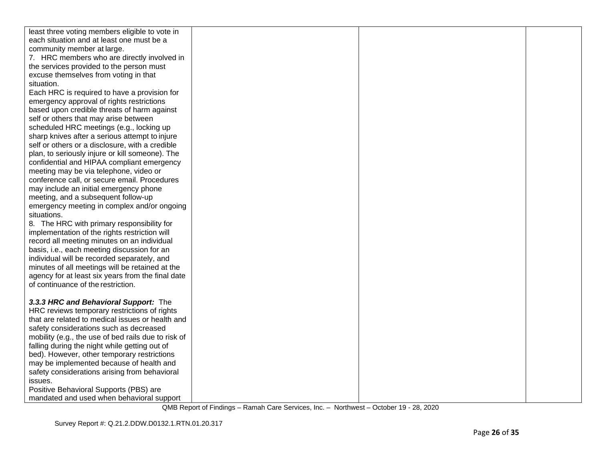| least three voting members eligible to vote in      |  |  |
|-----------------------------------------------------|--|--|
| each situation and at least one must be a           |  |  |
| community member at large.                          |  |  |
| 7. HRC members who are directly involved in         |  |  |
| the services provided to the person must            |  |  |
| excuse themselves from voting in that               |  |  |
| situation.                                          |  |  |
| Each HRC is required to have a provision for        |  |  |
| emergency approval of rights restrictions           |  |  |
| based upon credible threats of harm against         |  |  |
| self or others that may arise between               |  |  |
| scheduled HRC meetings (e.g., locking up            |  |  |
| sharp knives after a serious attempt to injure      |  |  |
| self or others or a disclosure, with a credible     |  |  |
| plan, to seriously injure or kill someone). The     |  |  |
| confidential and HIPAA compliant emergency          |  |  |
| meeting may be via telephone, video or              |  |  |
| conference call, or secure email. Procedures        |  |  |
| may include an initial emergency phone              |  |  |
| meeting, and a subsequent follow-up                 |  |  |
| emergency meeting in complex and/or ongoing         |  |  |
| situations.                                         |  |  |
| 8. The HRC with primary responsibility for          |  |  |
| implementation of the rights restriction will       |  |  |
| record all meeting minutes on an individual         |  |  |
| basis, i.e., each meeting discussion for an         |  |  |
| individual will be recorded separately, and         |  |  |
| minutes of all meetings will be retained at the     |  |  |
| agency for at least six years from the final date   |  |  |
| of continuance of the restriction.                  |  |  |
|                                                     |  |  |
| 3.3.3 HRC and Behavioral Support: The               |  |  |
| HRC reviews temporary restrictions of rights        |  |  |
| that are related to medical issues or health and    |  |  |
| safety considerations such as decreased             |  |  |
| mobility (e.g., the use of bed rails due to risk of |  |  |
| falling during the night while getting out of       |  |  |
| bed). However, other temporary restrictions         |  |  |
| may be implemented because of health and            |  |  |
| safety considerations arising from behavioral       |  |  |
| issues.                                             |  |  |
| Positive Behavioral Supports (PBS) are              |  |  |
| mandated and used when behavioral support           |  |  |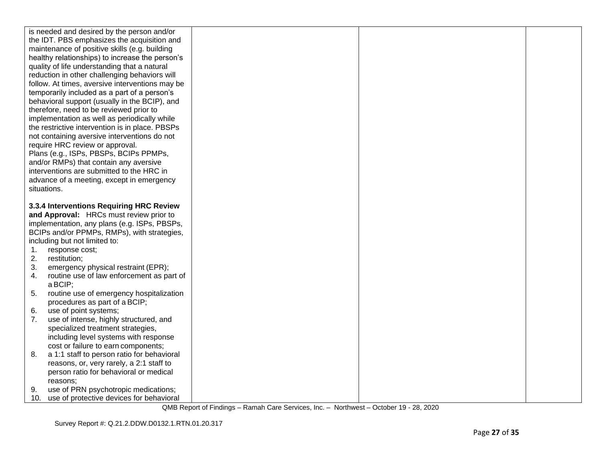| is needed and desired by the person and/or                                                 |  |  |
|--------------------------------------------------------------------------------------------|--|--|
| the IDT. PBS emphasizes the acquisition and                                                |  |  |
| maintenance of positive skills (e.g. building                                              |  |  |
| healthy relationships) to increase the person's                                            |  |  |
| quality of life understanding that a natural                                               |  |  |
| reduction in other challenging behaviors will                                              |  |  |
| follow. At times, aversive interventions may be                                            |  |  |
| temporarily included as a part of a person's                                               |  |  |
| behavioral support (usually in the BCIP), and                                              |  |  |
| therefore, need to be reviewed prior to                                                    |  |  |
| implementation as well as periodically while                                               |  |  |
| the restrictive intervention is in place. PBSPs                                            |  |  |
| not containing aversive interventions do not                                               |  |  |
| require HRC review or approval.                                                            |  |  |
| Plans (e.g., ISPs, PBSPs, BCIPs PPMPs,                                                     |  |  |
| and/or RMPs) that contain any aversive                                                     |  |  |
| interventions are submitted to the HRC in                                                  |  |  |
| advance of a meeting, except in emergency                                                  |  |  |
| situations.                                                                                |  |  |
|                                                                                            |  |  |
| 3.3.4 Interventions Requiring HRC Review                                                   |  |  |
| and Approval: HRCs must review prior to                                                    |  |  |
| implementation, any plans (e.g. ISPs, PBSPs,                                               |  |  |
| BCIPs and/or PPMPs, RMPs), with strategies,                                                |  |  |
| including but not limited to:                                                              |  |  |
| response cost;<br>1.                                                                       |  |  |
| 2.<br>restitution;                                                                         |  |  |
| 3.<br>emergency physical restraint (EPR);                                                  |  |  |
| routine use of law enforcement as part of<br>4.                                            |  |  |
|                                                                                            |  |  |
| a BCIP;                                                                                    |  |  |
| routine use of emergency hospitalization<br>5.                                             |  |  |
| procedures as part of a BCIP;                                                              |  |  |
| use of point systems;<br>6.                                                                |  |  |
| 7.<br>use of intense, highly structured, and                                               |  |  |
| specialized treatment strategies,                                                          |  |  |
| including level systems with response                                                      |  |  |
| cost or failure to earn components;                                                        |  |  |
| 8.<br>a 1:1 staff to person ratio for behavioral                                           |  |  |
| reasons, or, very rarely, a 2:1 staff to                                                   |  |  |
| person ratio for behavioral or medical                                                     |  |  |
| reasons;                                                                                   |  |  |
| use of PRN psychotropic medications;<br>9.<br>10. use of protective devices for behavioral |  |  |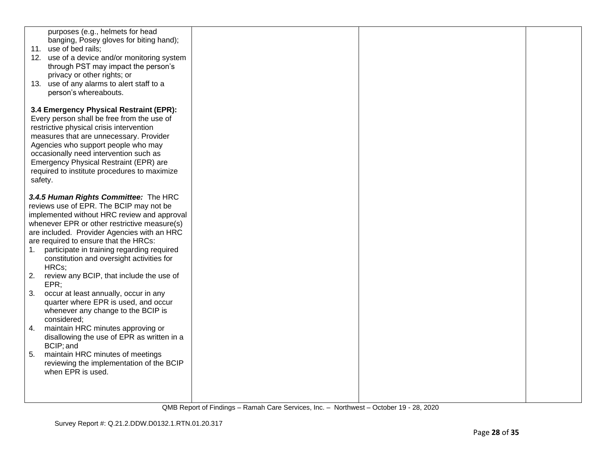| purposes (e.g., helmets for head<br>banging, Posey gloves for biting hand);<br>11. use of bed rails;<br>12. use of a device and/or monitoring system<br>through PST may impact the person's<br>privacy or other rights; or<br>13. use of any alarms to alert staff to a<br>person's whereabouts.                                                                                  |  |  |
|-----------------------------------------------------------------------------------------------------------------------------------------------------------------------------------------------------------------------------------------------------------------------------------------------------------------------------------------------------------------------------------|--|--|
| 3.4 Emergency Physical Restraint (EPR):<br>Every person shall be free from the use of<br>restrictive physical crisis intervention<br>measures that are unnecessary. Provider<br>Agencies who support people who may<br>occasionally need intervention such as<br>Emergency Physical Restraint (EPR) are<br>required to institute procedures to maximize<br>safety.                |  |  |
| 3.4.5 Human Rights Committee: The HRC<br>reviews use of EPR. The BCIP may not be<br>implemented without HRC review and approval<br>whenever EPR or other restrictive measure(s)<br>are included. Provider Agencies with an HRC<br>are required to ensure that the HRCs:<br>participate in training regarding required<br>1.<br>constitution and oversight activities for<br>HRCs; |  |  |
| 2.<br>review any BCIP, that include the use of<br>EPR;<br>3.<br>occur at least annually, occur in any<br>quarter where EPR is used, and occur<br>whenever any change to the BCIP is<br>considered;                                                                                                                                                                                |  |  |
| maintain HRC minutes approving or<br>4.<br>disallowing the use of EPR as written in a<br>BCIP; and<br>5.<br>maintain HRC minutes of meetings<br>reviewing the implementation of the BCIP<br>when EPR is used.                                                                                                                                                                     |  |  |
|                                                                                                                                                                                                                                                                                                                                                                                   |  |  |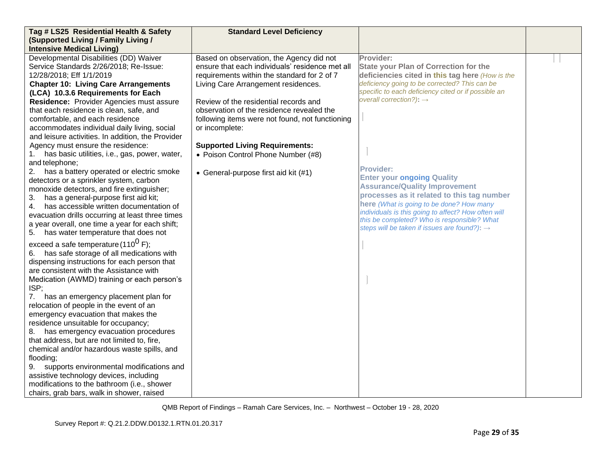| Tag # LS25 Residential Health & Safety                                                    | <b>Standard Level Deficiency</b>                |                                                                                            |  |
|-------------------------------------------------------------------------------------------|-------------------------------------------------|--------------------------------------------------------------------------------------------|--|
| (Supported Living / Family Living /                                                       |                                                 |                                                                                            |  |
| <b>Intensive Medical Living)</b>                                                          |                                                 |                                                                                            |  |
| Developmental Disabilities (DD) Waiver                                                    | Based on observation, the Agency did not        | Provider:                                                                                  |  |
| Service Standards 2/26/2018; Re-Issue:                                                    | ensure that each individuals' residence met all | <b>State your Plan of Correction for the</b>                                               |  |
| 12/28/2018; Eff 1/1/2019                                                                  | requirements within the standard for 2 of 7     | deficiencies cited in this tag here (How is the                                            |  |
| <b>Chapter 10: Living Care Arrangements</b>                                               | Living Care Arrangement residences.             | deficiency going to be corrected? This can be                                              |  |
| (LCA) 10.3.6 Requirements for Each                                                        |                                                 | specific to each deficiency cited or if possible an<br>overall correction?): $\rightarrow$ |  |
| Residence: Provider Agencies must assure                                                  | Review of the residential records and           |                                                                                            |  |
| that each residence is clean, safe, and                                                   | observation of the residence revealed the       |                                                                                            |  |
| comfortable, and each residence                                                           | following items were not found, not functioning |                                                                                            |  |
| accommodates individual daily living, social                                              | or incomplete:                                  |                                                                                            |  |
| and leisure activities. In addition, the Provider                                         |                                                 |                                                                                            |  |
| Agency must ensure the residence:                                                         | <b>Supported Living Requirements:</b>           |                                                                                            |  |
| has basic utilities, i.e., gas, power, water,<br>1.                                       | • Poison Control Phone Number (#8)              |                                                                                            |  |
| and telephone;                                                                            |                                                 | <b>Provider:</b>                                                                           |  |
| has a battery operated or electric smoke<br>2.<br>detectors or a sprinkler system, carbon | • General-purpose first aid kit (#1)            | <b>Enter your ongoing Quality</b>                                                          |  |
| monoxide detectors, and fire extinguisher;                                                |                                                 | <b>Assurance/Quality Improvement</b>                                                       |  |
| has a general-purpose first aid kit;<br>3.                                                |                                                 | processes as it related to this tag number                                                 |  |
| has accessible written documentation of<br>4.                                             |                                                 | here (What is going to be done? How many                                                   |  |
| evacuation drills occurring at least three times                                          |                                                 | individuals is this going to affect? How often will                                        |  |
| a year overall, one time a year for each shift;                                           |                                                 | this be completed? Who is responsible? What                                                |  |
| 5. has water temperature that does not                                                    |                                                 | steps will be taken if issues are found?): $\rightarrow$                                   |  |
|                                                                                           |                                                 |                                                                                            |  |
| exceed a safe temperature (110 <sup>0</sup> F);                                           |                                                 |                                                                                            |  |
| has safe storage of all medications with<br>6.                                            |                                                 |                                                                                            |  |
| dispensing instructions for each person that<br>are consistent with the Assistance with   |                                                 |                                                                                            |  |
| Medication (AWMD) training or each person's                                               |                                                 |                                                                                            |  |
| ISP;                                                                                      |                                                 |                                                                                            |  |
| has an emergency placement plan for<br>7.                                                 |                                                 |                                                                                            |  |
| relocation of people in the event of an                                                   |                                                 |                                                                                            |  |
| emergency evacuation that makes the                                                       |                                                 |                                                                                            |  |
| residence unsuitable for occupancy;                                                       |                                                 |                                                                                            |  |
| has emergency evacuation procedures<br>8.                                                 |                                                 |                                                                                            |  |
| that address, but are not limited to, fire,                                               |                                                 |                                                                                            |  |
| chemical and/or hazardous waste spills, and                                               |                                                 |                                                                                            |  |
| flooding;                                                                                 |                                                 |                                                                                            |  |
| supports environmental modifications and<br>9.                                            |                                                 |                                                                                            |  |
| assistive technology devices, including                                                   |                                                 |                                                                                            |  |
| modifications to the bathroom (i.e., shower                                               |                                                 |                                                                                            |  |
| chairs, grab bars, walk in shower, raised                                                 |                                                 |                                                                                            |  |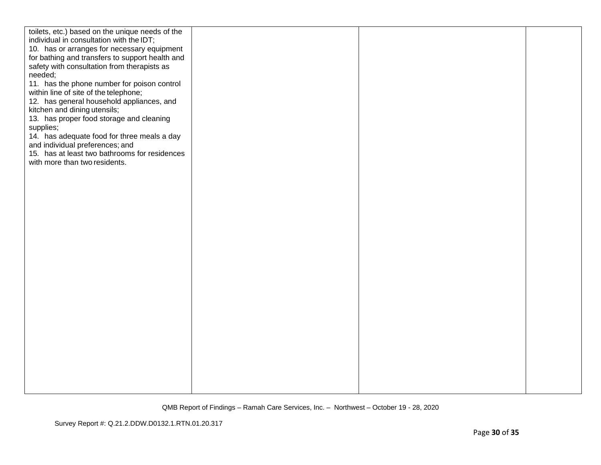| toilets, etc.) based on the unique needs of the<br>individual in consultation with the IDT;<br>10. has or arranges for necessary equipment<br>for bathing and transfers to support health and<br>safety with consultation from therapists as<br>needed;<br>11. has the phone number for poison control<br>within line of site of the telephone;<br>12. has general household appliances, and<br>kitchen and dining utensils;<br>13. has proper food storage and cleaning<br>supplies;<br>14. has adequate food for three meals a day<br>and individual preferences; and<br>15. has at least two bathrooms for residences<br>with more than two residents. |  |  |
|-----------------------------------------------------------------------------------------------------------------------------------------------------------------------------------------------------------------------------------------------------------------------------------------------------------------------------------------------------------------------------------------------------------------------------------------------------------------------------------------------------------------------------------------------------------------------------------------------------------------------------------------------------------|--|--|
|                                                                                                                                                                                                                                                                                                                                                                                                                                                                                                                                                                                                                                                           |  |  |
|                                                                                                                                                                                                                                                                                                                                                                                                                                                                                                                                                                                                                                                           |  |  |
|                                                                                                                                                                                                                                                                                                                                                                                                                                                                                                                                                                                                                                                           |  |  |
|                                                                                                                                                                                                                                                                                                                                                                                                                                                                                                                                                                                                                                                           |  |  |
|                                                                                                                                                                                                                                                                                                                                                                                                                                                                                                                                                                                                                                                           |  |  |
|                                                                                                                                                                                                                                                                                                                                                                                                                                                                                                                                                                                                                                                           |  |  |
|                                                                                                                                                                                                                                                                                                                                                                                                                                                                                                                                                                                                                                                           |  |  |
|                                                                                                                                                                                                                                                                                                                                                                                                                                                                                                                                                                                                                                                           |  |  |
|                                                                                                                                                                                                                                                                                                                                                                                                                                                                                                                                                                                                                                                           |  |  |
|                                                                                                                                                                                                                                                                                                                                                                                                                                                                                                                                                                                                                                                           |  |  |
|                                                                                                                                                                                                                                                                                                                                                                                                                                                                                                                                                                                                                                                           |  |  |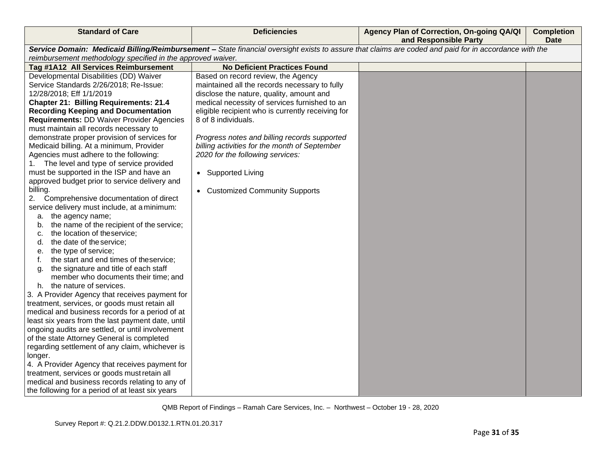| <b>Standard of Care</b>                                                         | <b>Deficiencies</b>                               | Agency Plan of Correction, On-going QA/QI<br>and Responsible Party                                                                                    | <b>Completion</b><br><b>Date</b> |
|---------------------------------------------------------------------------------|---------------------------------------------------|-------------------------------------------------------------------------------------------------------------------------------------------------------|----------------------------------|
|                                                                                 |                                                   | Service Domain: Medicaid Billing/Reimbursement - State financial oversight exists to assure that claims are coded and paid for in accordance with the |                                  |
| reimbursement methodology specified in the approved waiver.                     |                                                   |                                                                                                                                                       |                                  |
| Tag #1A12 All Services Reimbursement                                            | <b>No Deficient Practices Found</b>               |                                                                                                                                                       |                                  |
| Developmental Disabilities (DD) Waiver                                          | Based on record review, the Agency                |                                                                                                                                                       |                                  |
| Service Standards 2/26/2018; Re-Issue:                                          | maintained all the records necessary to fully     |                                                                                                                                                       |                                  |
| 12/28/2018; Eff 1/1/2019                                                        | disclose the nature, quality, amount and          |                                                                                                                                                       |                                  |
| <b>Chapter 21: Billing Requirements: 21.4</b>                                   | medical necessity of services furnished to an     |                                                                                                                                                       |                                  |
| <b>Recording Keeping and Documentation</b>                                      | eligible recipient who is currently receiving for |                                                                                                                                                       |                                  |
| <b>Requirements: DD Waiver Provider Agencies</b>                                | 8 of 8 individuals.                               |                                                                                                                                                       |                                  |
| must maintain all records necessary to                                          |                                                   |                                                                                                                                                       |                                  |
| demonstrate proper provision of services for                                    | Progress notes and billing records supported      |                                                                                                                                                       |                                  |
| Medicaid billing. At a minimum, Provider                                        | billing activities for the month of September     |                                                                                                                                                       |                                  |
| Agencies must adhere to the following:                                          | 2020 for the following services:                  |                                                                                                                                                       |                                  |
| 1. The level and type of service provided                                       |                                                   |                                                                                                                                                       |                                  |
| must be supported in the ISP and have an                                        | • Supported Living                                |                                                                                                                                                       |                                  |
| approved budget prior to service delivery and                                   |                                                   |                                                                                                                                                       |                                  |
| billing.                                                                        | • Customized Community Supports                   |                                                                                                                                                       |                                  |
| Comprehensive documentation of direct<br>2.                                     |                                                   |                                                                                                                                                       |                                  |
| service delivery must include, at a minimum:                                    |                                                   |                                                                                                                                                       |                                  |
| a. the agency name;                                                             |                                                   |                                                                                                                                                       |                                  |
| the name of the recipient of the service;<br>b.<br>the location of the service; |                                                   |                                                                                                                                                       |                                  |
| C.<br>the date of the service;<br>d.                                            |                                                   |                                                                                                                                                       |                                  |
| the type of service;<br>е.                                                      |                                                   |                                                                                                                                                       |                                  |
| the start and end times of theservice;<br>f.                                    |                                                   |                                                                                                                                                       |                                  |
| the signature and title of each staff<br>α.                                     |                                                   |                                                                                                                                                       |                                  |
| member who documents their time; and                                            |                                                   |                                                                                                                                                       |                                  |
| h. the nature of services.                                                      |                                                   |                                                                                                                                                       |                                  |
| 3. A Provider Agency that receives payment for                                  |                                                   |                                                                                                                                                       |                                  |
| treatment, services, or goods must retain all                                   |                                                   |                                                                                                                                                       |                                  |
| medical and business records for a period of at                                 |                                                   |                                                                                                                                                       |                                  |
| least six years from the last payment date, until                               |                                                   |                                                                                                                                                       |                                  |
| ongoing audits are settled, or until involvement                                |                                                   |                                                                                                                                                       |                                  |
| of the state Attorney General is completed                                      |                                                   |                                                                                                                                                       |                                  |
| regarding settlement of any claim, whichever is                                 |                                                   |                                                                                                                                                       |                                  |
| longer.                                                                         |                                                   |                                                                                                                                                       |                                  |
| 4. A Provider Agency that receives payment for                                  |                                                   |                                                                                                                                                       |                                  |
| treatment, services or goods must retain all                                    |                                                   |                                                                                                                                                       |                                  |
| medical and business records relating to any of                                 |                                                   |                                                                                                                                                       |                                  |
| the following for a period of at least six years                                |                                                   |                                                                                                                                                       |                                  |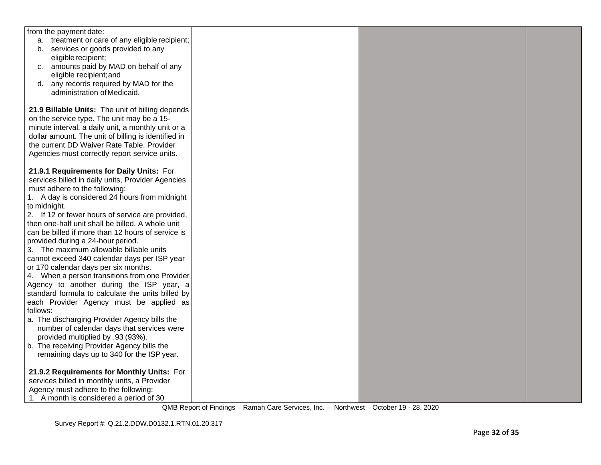| from the payment date:                              |  |  |
|-----------------------------------------------------|--|--|
| a. treatment or care of any eligible recipient;     |  |  |
| b. services or goods provided to any                |  |  |
| eligible recipient;                                 |  |  |
| amounts paid by MAD on behalf of any<br>C.          |  |  |
| eligible recipient; and                             |  |  |
| d. any records required by MAD for the              |  |  |
| administration of Medicaid.                         |  |  |
|                                                     |  |  |
| 21.9 Billable Units: The unit of billing depends    |  |  |
| on the service type. The unit may be a 15-          |  |  |
| minute interval, a daily unit, a monthly unit or a  |  |  |
| dollar amount. The unit of billing is identified in |  |  |
| the current DD Waiver Rate Table. Provider          |  |  |
| Agencies must correctly report service units.       |  |  |
|                                                     |  |  |
| 21.9.1 Requirements for Daily Units: For            |  |  |
| services billed in daily units, Provider Agencies   |  |  |
| must adhere to the following:                       |  |  |
| 1. A day is considered 24 hours from midnight       |  |  |
| to midnight.                                        |  |  |
| 2. If 12 or fewer hours of service are provided,    |  |  |
| then one-half unit shall be billed. A whole unit    |  |  |
| can be billed if more than 12 hours of service is   |  |  |
| provided during a 24-hour period.                   |  |  |
| 3. The maximum allowable billable units             |  |  |
| cannot exceed 340 calendar days per ISP year        |  |  |
| or 170 calendar days per six months.                |  |  |
| 4. When a person transitions from one Provider      |  |  |
| Agency to another during the ISP year, a            |  |  |
| standard formula to calculate the units billed by   |  |  |
| each Provider Agency must be applied as             |  |  |
| follows:                                            |  |  |
| a. The discharging Provider Agency bills the        |  |  |
| number of calendar days that services were          |  |  |
| provided multiplied by .93 (93%).                   |  |  |
| b. The receiving Provider Agency bills the          |  |  |
| remaining days up to 340 for the ISP year.          |  |  |
|                                                     |  |  |
| 21.9.2 Requirements for Monthly Units: For          |  |  |
| services billed in monthly units, a Provider        |  |  |
| Agency must adhere to the following:                |  |  |
| 1. A month is considered a period of 30             |  |  |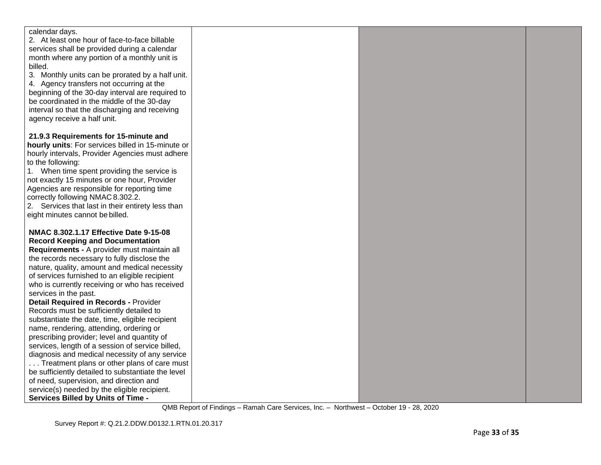| calendar days.                                     |  |  |
|----------------------------------------------------|--|--|
| 2. At least one hour of face-to-face billable      |  |  |
| services shall be provided during a calendar       |  |  |
| month where any portion of a monthly unit is       |  |  |
| billed.                                            |  |  |
| 3. Monthly units can be prorated by a half unit.   |  |  |
| 4. Agency transfers not occurring at the           |  |  |
| beginning of the 30-day interval are required to   |  |  |
| be coordinated in the middle of the 30-day         |  |  |
| interval so that the discharging and receiving     |  |  |
| agency receive a half unit.                        |  |  |
|                                                    |  |  |
| 21.9.3 Requirements for 15-minute and              |  |  |
| hourly units: For services billed in 15-minute or  |  |  |
| hourly intervals, Provider Agencies must adhere    |  |  |
| to the following:                                  |  |  |
| 1. When time spent providing the service is        |  |  |
| not exactly 15 minutes or one hour, Provider       |  |  |
| Agencies are responsible for reporting time        |  |  |
| correctly following NMAC 8.302.2.                  |  |  |
| 2. Services that last in their entirety less than  |  |  |
| eight minutes cannot be billed.                    |  |  |
|                                                    |  |  |
| NMAC 8.302.1.17 Effective Date 9-15-08             |  |  |
| <b>Record Keeping and Documentation</b>            |  |  |
| Requirements - A provider must maintain all        |  |  |
| the records necessary to fully disclose the        |  |  |
| nature, quality, amount and medical necessity      |  |  |
| of services furnished to an eligible recipient     |  |  |
| who is currently receiving or who has received     |  |  |
| services in the past.                              |  |  |
| <b>Detail Required in Records - Provider</b>       |  |  |
| Records must be sufficiently detailed to           |  |  |
| substantiate the date, time, eligible recipient    |  |  |
| name, rendering, attending, ordering or            |  |  |
| prescribing provider; level and quantity of        |  |  |
| services, length of a session of service billed,   |  |  |
| diagnosis and medical necessity of any service     |  |  |
| Treatment plans or other plans of care must        |  |  |
| be sufficiently detailed to substantiate the level |  |  |
| of need, supervision, and direction and            |  |  |
| service(s) needed by the eligible recipient.       |  |  |
| Services Billed by Units of Time -                 |  |  |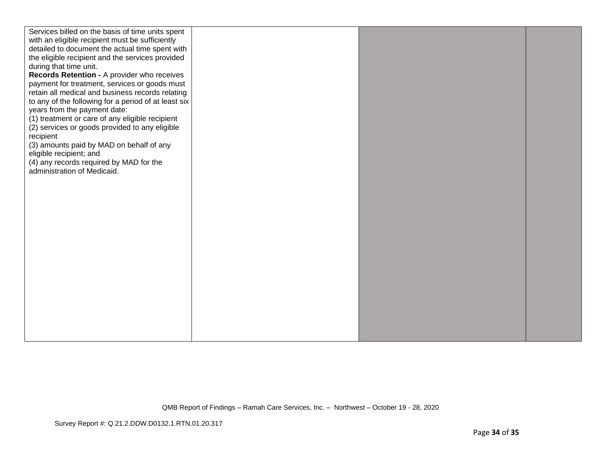| Services billed on the basis of time units spent<br>with an eligible recipient must be sufficiently<br>detailed to document the actual time spent with<br>the eligible recipient and the services provided<br>during that time unit.<br>Records Retention - A provider who receives<br>payment for treatment, services or goods must<br>retain all medical and business records relating<br>to any of the following for a period of at least six<br>years from the payment date:<br>(1) treatment or care of any eligible recipient<br>(2) services or goods provided to any eligible<br>recipient<br>(3) amounts paid by MAD on behalf of any<br>eligible recipient; and<br>(4) any records required by MAD for the<br>administration of Medicaid. |
|-----------------------------------------------------------------------------------------------------------------------------------------------------------------------------------------------------------------------------------------------------------------------------------------------------------------------------------------------------------------------------------------------------------------------------------------------------------------------------------------------------------------------------------------------------------------------------------------------------------------------------------------------------------------------------------------------------------------------------------------------------|
|                                                                                                                                                                                                                                                                                                                                                                                                                                                                                                                                                                                                                                                                                                                                                     |
|                                                                                                                                                                                                                                                                                                                                                                                                                                                                                                                                                                                                                                                                                                                                                     |
|                                                                                                                                                                                                                                                                                                                                                                                                                                                                                                                                                                                                                                                                                                                                                     |
|                                                                                                                                                                                                                                                                                                                                                                                                                                                                                                                                                                                                                                                                                                                                                     |
|                                                                                                                                                                                                                                                                                                                                                                                                                                                                                                                                                                                                                                                                                                                                                     |
|                                                                                                                                                                                                                                                                                                                                                                                                                                                                                                                                                                                                                                                                                                                                                     |
|                                                                                                                                                                                                                                                                                                                                                                                                                                                                                                                                                                                                                                                                                                                                                     |
|                                                                                                                                                                                                                                                                                                                                                                                                                                                                                                                                                                                                                                                                                                                                                     |
|                                                                                                                                                                                                                                                                                                                                                                                                                                                                                                                                                                                                                                                                                                                                                     |
|                                                                                                                                                                                                                                                                                                                                                                                                                                                                                                                                                                                                                                                                                                                                                     |
|                                                                                                                                                                                                                                                                                                                                                                                                                                                                                                                                                                                                                                                                                                                                                     |
|                                                                                                                                                                                                                                                                                                                                                                                                                                                                                                                                                                                                                                                                                                                                                     |
|                                                                                                                                                                                                                                                                                                                                                                                                                                                                                                                                                                                                                                                                                                                                                     |
|                                                                                                                                                                                                                                                                                                                                                                                                                                                                                                                                                                                                                                                                                                                                                     |
|                                                                                                                                                                                                                                                                                                                                                                                                                                                                                                                                                                                                                                                                                                                                                     |
|                                                                                                                                                                                                                                                                                                                                                                                                                                                                                                                                                                                                                                                                                                                                                     |
|                                                                                                                                                                                                                                                                                                                                                                                                                                                                                                                                                                                                                                                                                                                                                     |
|                                                                                                                                                                                                                                                                                                                                                                                                                                                                                                                                                                                                                                                                                                                                                     |
|                                                                                                                                                                                                                                                                                                                                                                                                                                                                                                                                                                                                                                                                                                                                                     |
|                                                                                                                                                                                                                                                                                                                                                                                                                                                                                                                                                                                                                                                                                                                                                     |
|                                                                                                                                                                                                                                                                                                                                                                                                                                                                                                                                                                                                                                                                                                                                                     |
|                                                                                                                                                                                                                                                                                                                                                                                                                                                                                                                                                                                                                                                                                                                                                     |
|                                                                                                                                                                                                                                                                                                                                                                                                                                                                                                                                                                                                                                                                                                                                                     |
|                                                                                                                                                                                                                                                                                                                                                                                                                                                                                                                                                                                                                                                                                                                                                     |
|                                                                                                                                                                                                                                                                                                                                                                                                                                                                                                                                                                                                                                                                                                                                                     |
|                                                                                                                                                                                                                                                                                                                                                                                                                                                                                                                                                                                                                                                                                                                                                     |
|                                                                                                                                                                                                                                                                                                                                                                                                                                                                                                                                                                                                                                                                                                                                                     |
|                                                                                                                                                                                                                                                                                                                                                                                                                                                                                                                                                                                                                                                                                                                                                     |
|                                                                                                                                                                                                                                                                                                                                                                                                                                                                                                                                                                                                                                                                                                                                                     |
|                                                                                                                                                                                                                                                                                                                                                                                                                                                                                                                                                                                                                                                                                                                                                     |
|                                                                                                                                                                                                                                                                                                                                                                                                                                                                                                                                                                                                                                                                                                                                                     |
|                                                                                                                                                                                                                                                                                                                                                                                                                                                                                                                                                                                                                                                                                                                                                     |
|                                                                                                                                                                                                                                                                                                                                                                                                                                                                                                                                                                                                                                                                                                                                                     |
|                                                                                                                                                                                                                                                                                                                                                                                                                                                                                                                                                                                                                                                                                                                                                     |